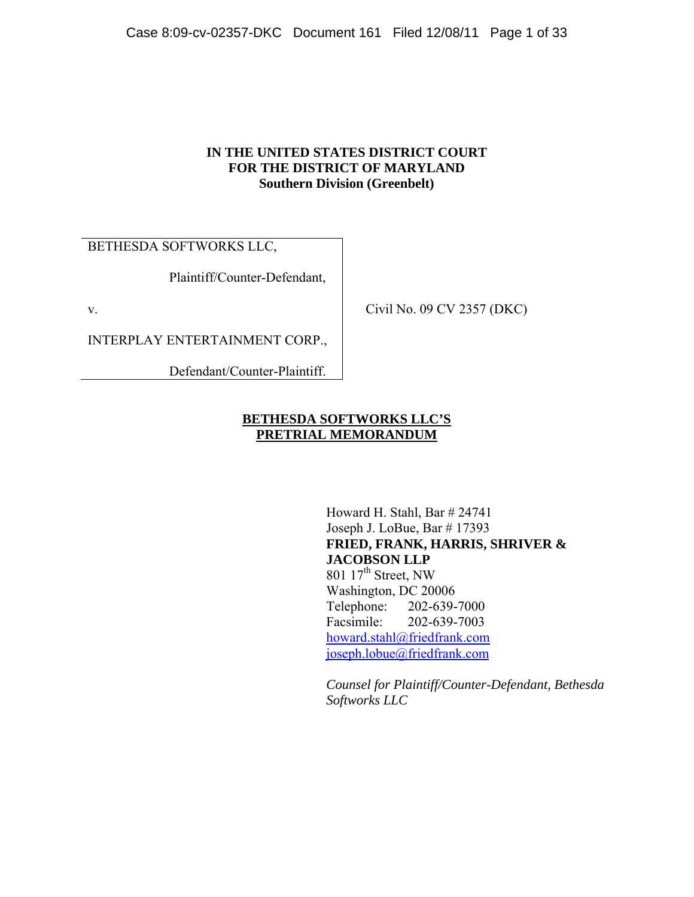#### **IN THE UNITED STATES DISTRICT COURT FOR THE DISTRICT OF MARYLAND Southern Division (Greenbelt)**

BETHESDA SOFTWORKS LLC,

Plaintiff/Counter-Defendant,

v.

INTERPLAY ENTERTAINMENT CORP.,

Defendant/Counter-Plaintiff.

Civil No. 09 CV 2357 (DKC)

#### **BETHESDA SOFTWORKS LLC'S PRETRIAL MEMORANDUM**

Howard H. Stahl, Bar # 24741 Joseph J. LoBue, Bar # 17393 **FRIED, FRANK, HARRIS, SHRIVER & JACOBSON LLP**  801 17<sup>th</sup> Street, NW Washington, DC 20006 Telephone: 202-639-7000 Facsimile: 202-639-7003 howard.stahl@friedfrank.com joseph.lobue@friedfrank.com

*Counsel for Plaintiff/Counter-Defendant, Bethesda Softworks LLC*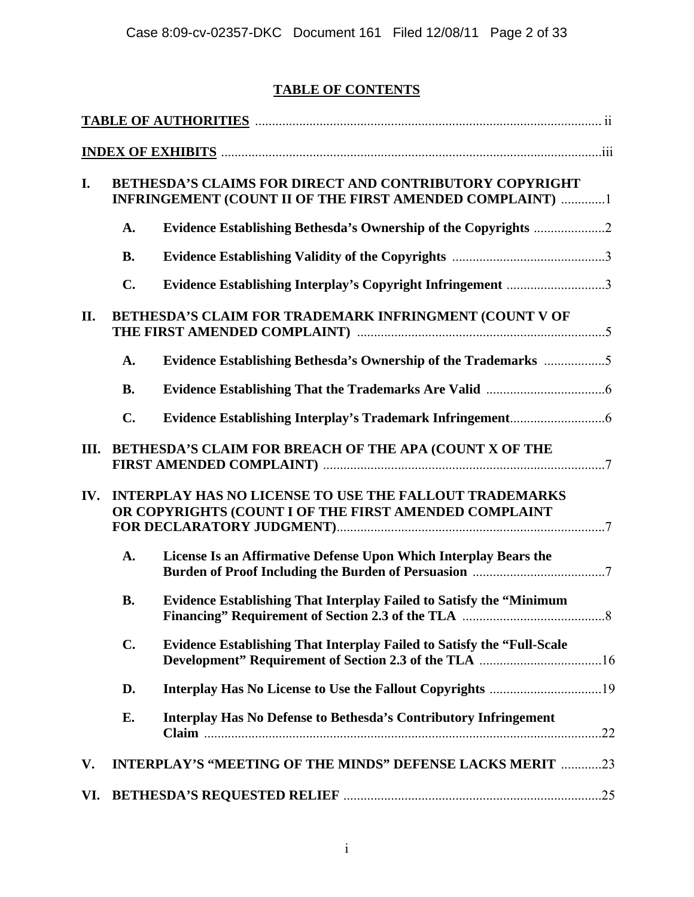# **TABLE OF CONTENTS**

| I.  | BETHESDA'S CLAIMS FOR DIRECT AND CONTRIBUTORY COPYRIGHT<br>INFRINGEMENT (COUNT II OF THE FIRST AMENDED COMPLAINT) 1 |                                                                                                                        |  |  |
|-----|---------------------------------------------------------------------------------------------------------------------|------------------------------------------------------------------------------------------------------------------------|--|--|
|     | A.                                                                                                                  |                                                                                                                        |  |  |
|     | <b>B.</b>                                                                                                           |                                                                                                                        |  |  |
|     | $\mathbf{C}$ .                                                                                                      | Evidence Establishing Interplay's Copyright Infringement 3                                                             |  |  |
| II. | BETHESDA'S CLAIM FOR TRADEMARK INFRINGMENT (COUNT V OF                                                              |                                                                                                                        |  |  |
|     | A.                                                                                                                  | Evidence Establishing Bethesda's Ownership of the Trademarks 5                                                         |  |  |
|     | <b>B.</b>                                                                                                           |                                                                                                                        |  |  |
|     | $C_{\bullet}$                                                                                                       |                                                                                                                        |  |  |
| Ш.  |                                                                                                                     | BETHESDA'S CLAIM FOR BREACH OF THE APA (COUNT X OF THE                                                                 |  |  |
| IV. |                                                                                                                     | <b>INTERPLAY HAS NO LICENSE TO USE THE FALLOUT TRADEMARKS</b><br>OR COPYRIGHTS (COUNT I OF THE FIRST AMENDED COMPLAINT |  |  |
|     | A.                                                                                                                  | License Is an Affirmative Defense Upon Which Interplay Bears the                                                       |  |  |
|     | <b>B.</b>                                                                                                           | <b>Evidence Establishing That Interplay Failed to Satisfy the "Minimum</b>                                             |  |  |
|     | $\mathbf{C}$ .                                                                                                      | <b>Evidence Establishing That Interplay Failed to Satisfy the "Full-Scale"</b>                                         |  |  |
|     | D.                                                                                                                  |                                                                                                                        |  |  |
|     | Е.                                                                                                                  | <b>Interplay Has No Defense to Bethesda's Contributory Infringement</b>                                                |  |  |
| V.  |                                                                                                                     | <b>INTERPLAY'S "MEETING OF THE MINDS" DEFENSE LACKS MERIT 23</b>                                                       |  |  |
| VI. |                                                                                                                     |                                                                                                                        |  |  |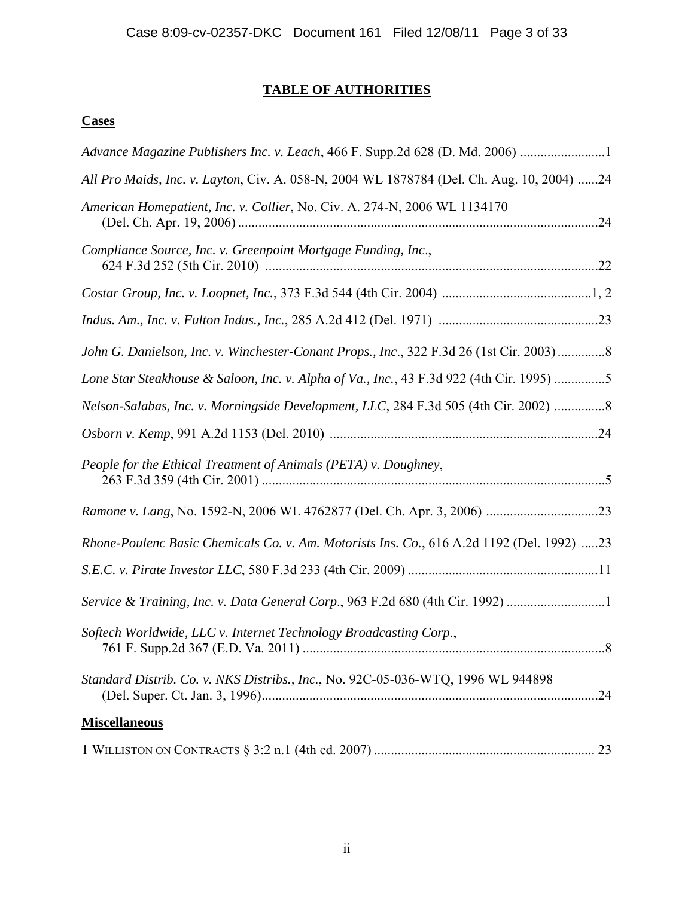# **TABLE OF AUTHORITIES**

# **Cases**

| Advance Magazine Publishers Inc. v. Leach, 466 F. Supp.2d 628 (D. Md. 2006)               |                |
|-------------------------------------------------------------------------------------------|----------------|
| All Pro Maids, Inc. v. Layton, Civ. A. 058-N, 2004 WL 1878784 (Del. Ch. Aug. 10, 2004) 24 |                |
| American Homepatient, Inc. v. Collier, No. Civ. A. 274-N, 2006 WL 1134170                 |                |
| Compliance Source, Inc. v. Greenpoint Mortgage Funding, Inc.,                             |                |
|                                                                                           |                |
|                                                                                           |                |
| John G. Danielson, Inc. v. Winchester-Conant Props., Inc., 322 F.3d 26 (1st Cir. 2003)8   |                |
| Lone Star Steakhouse & Saloon, Inc. v. Alpha of Va., Inc., 43 F.3d 922 (4th Cir. 1995) 5  |                |
| Nelson-Salabas, Inc. v. Morningside Development, LLC, 284 F.3d 505 (4th Cir. 2002) 8      |                |
|                                                                                           |                |
|                                                                                           |                |
| People for the Ethical Treatment of Animals (PETA) v. Doughney,                           |                |
|                                                                                           |                |
| Rhone-Poulenc Basic Chemicals Co. v. Am. Motorists Ins. Co., 616 A.2d 1192 (Del. 1992) 23 |                |
|                                                                                           |                |
| Service & Training, Inc. v. Data General Corp., 963 F.2d 680 (4th Cir. 1992) 1            |                |
| Softech Worldwide, LLC v. Internet Technology Broadcasting Corp.,                         | $\overline{8}$ |
| Standard Distrib. Co. v. NKS Distribs., Inc., No. 92C-05-036-WTQ, 1996 WL 944898          | .24            |
| <b>Miscellaneous</b>                                                                      |                |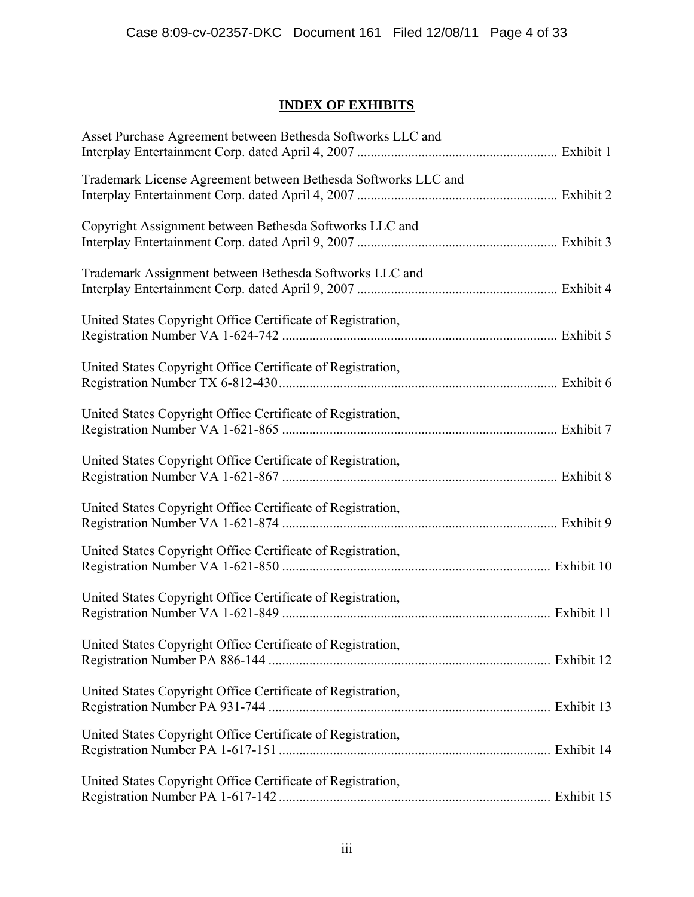# **INDEX OF EXHIBITS**

| Asset Purchase Agreement between Bethesda Softworks LLC and    |  |
|----------------------------------------------------------------|--|
| Trademark License Agreement between Bethesda Softworks LLC and |  |
| Copyright Assignment between Bethesda Softworks LLC and        |  |
| Trademark Assignment between Bethesda Softworks LLC and        |  |
| United States Copyright Office Certificate of Registration,    |  |
| United States Copyright Office Certificate of Registration,    |  |
| United States Copyright Office Certificate of Registration,    |  |
| United States Copyright Office Certificate of Registration,    |  |
| United States Copyright Office Certificate of Registration,    |  |
| United States Copyright Office Certificate of Registration,    |  |
| United States Copyright Office Certificate of Registration,    |  |
| United States Copyright Office Certificate of Registration,    |  |
| United States Copyright Office Certificate of Registration,    |  |
| United States Copyright Office Certificate of Registration,    |  |
| United States Copyright Office Certificate of Registration,    |  |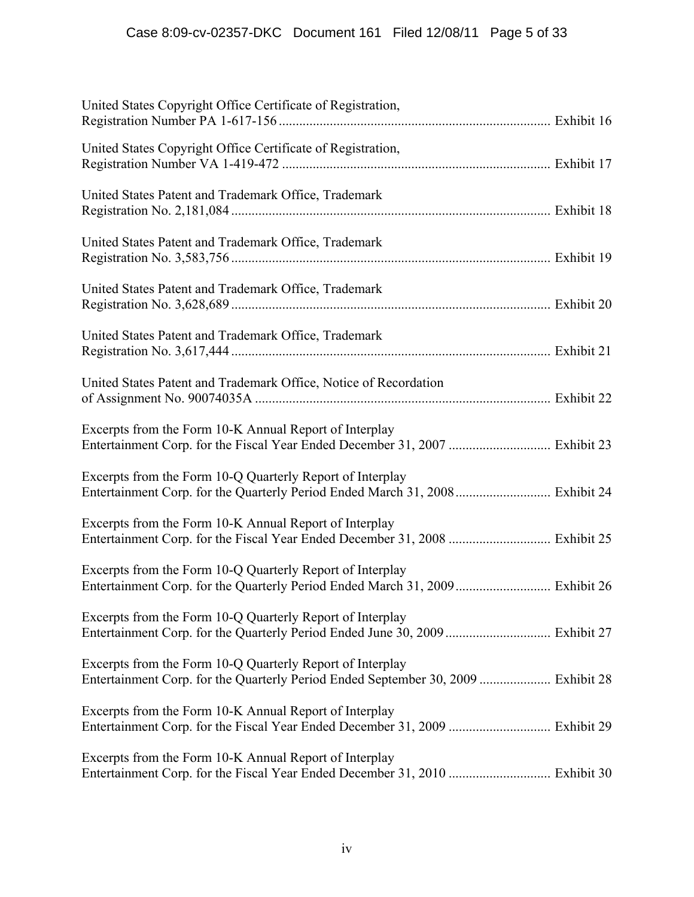| United States Copyright Office Certificate of Registration,                                                                                    |  |
|------------------------------------------------------------------------------------------------------------------------------------------------|--|
| United States Copyright Office Certificate of Registration,                                                                                    |  |
| United States Patent and Trademark Office, Trademark                                                                                           |  |
| United States Patent and Trademark Office, Trademark                                                                                           |  |
| United States Patent and Trademark Office, Trademark                                                                                           |  |
| United States Patent and Trademark Office, Trademark                                                                                           |  |
| United States Patent and Trademark Office, Notice of Recordation                                                                               |  |
| Excerpts from the Form 10-K Annual Report of Interplay<br>Entertainment Corp. for the Fiscal Year Ended December 31, 2007  Exhibit 23          |  |
| Excerpts from the Form 10-Q Quarterly Report of Interplay<br>Entertainment Corp. for the Quarterly Period Ended March 31, 2008 Exhibit 24      |  |
| Excerpts from the Form 10-K Annual Report of Interplay<br>Entertainment Corp. for the Fiscal Year Ended December 31, 2008  Exhibit 25          |  |
| Excerpts from the Form 10-Q Quarterly Report of Interplay<br>Entertainment Corp. for the Quarterly Period Ended March 31, 2009 Exhibit 26      |  |
| Excerpts from the Form 10-Q Quarterly Report of Interplay                                                                                      |  |
| Excerpts from the Form 10-Q Quarterly Report of Interplay<br>Entertainment Corp. for the Quarterly Period Ended September 30, 2009  Exhibit 28 |  |
| Excerpts from the Form 10-K Annual Report of Interplay<br>Entertainment Corp. for the Fiscal Year Ended December 31, 2009  Exhibit 29          |  |
| Excerpts from the Form 10-K Annual Report of Interplay                                                                                         |  |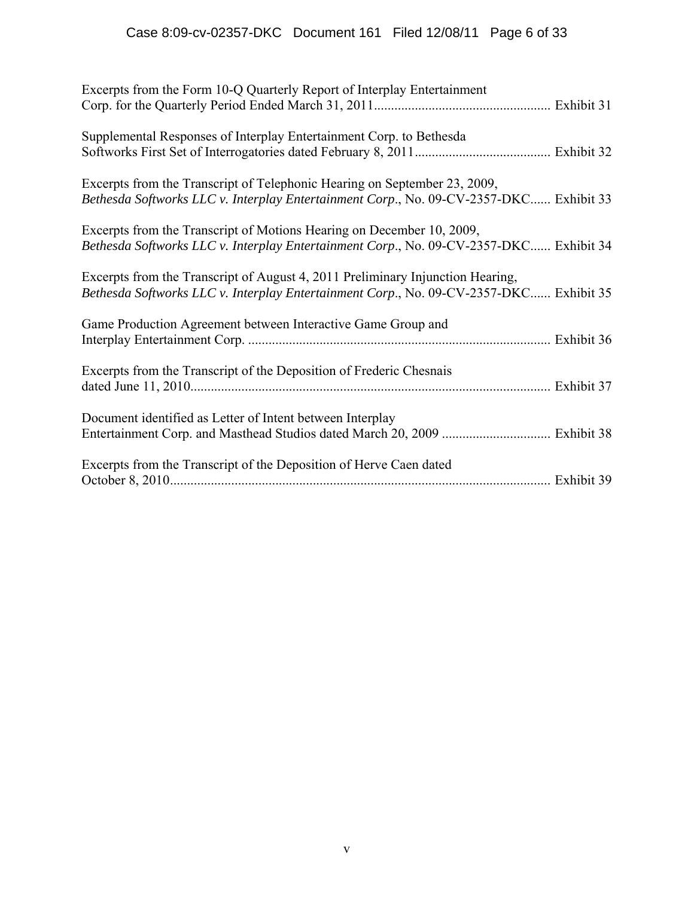| Excerpts from the Form 10-Q Quarterly Report of Interplay Entertainment                                                                                                  |  |
|--------------------------------------------------------------------------------------------------------------------------------------------------------------------------|--|
| Supplemental Responses of Interplay Entertainment Corp. to Bethesda                                                                                                      |  |
| Excerpts from the Transcript of Telephonic Hearing on September 23, 2009,<br>Bethesda Softworks LLC v. Interplay Entertainment Corp., No. 09-CV-2357-DKC Exhibit 33      |  |
| Excerpts from the Transcript of Motions Hearing on December 10, 2009,<br>Bethesda Softworks LLC v. Interplay Entertainment Corp., No. 09-CV-2357-DKC Exhibit 34          |  |
| Excerpts from the Transcript of August 4, 2011 Preliminary Injunction Hearing,<br>Bethesda Softworks LLC v. Interplay Entertainment Corp., No. 09-CV-2357-DKC Exhibit 35 |  |
| Game Production Agreement between Interactive Game Group and                                                                                                             |  |
| Excerpts from the Transcript of the Deposition of Frederic Chesnais                                                                                                      |  |
| Document identified as Letter of Intent between Interplay                                                                                                                |  |
| Excerpts from the Transcript of the Deposition of Herve Caen dated                                                                                                       |  |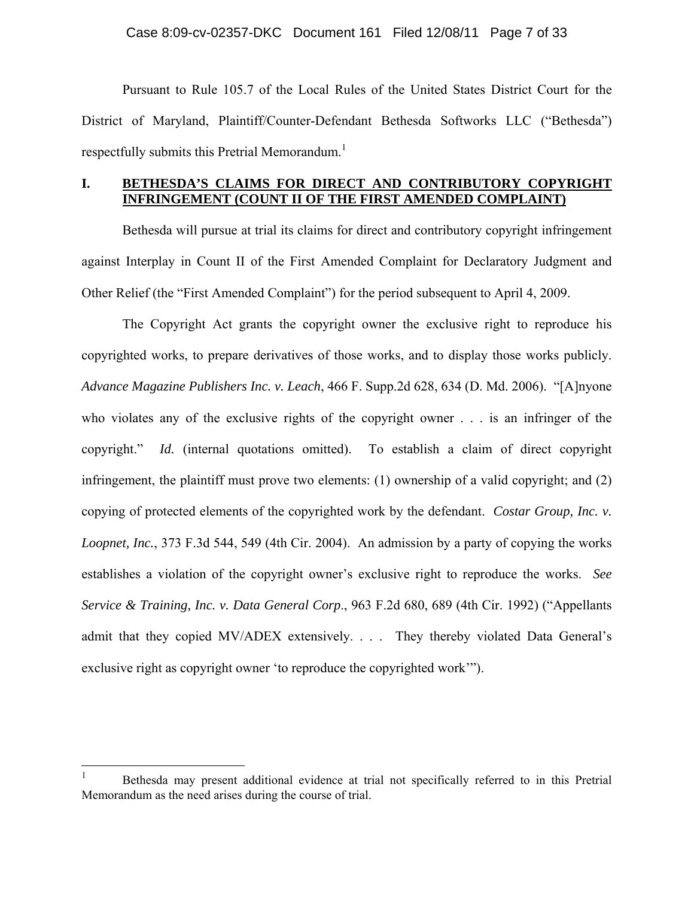Pursuant to Rule 105.7 of the Local Rules of the United States District Court for the District of Maryland, Plaintiff/Counter-Defendant Bethesda Softworks LLC ("Bethesda") respectfully submits this Pretrial Memorandum.<sup>1</sup>

#### **I. BETHESDA'S CLAIMS FOR DIRECT AND CONTRIBUTORY COPYRIGHT INFRINGEMENT (COUNT II OF THE FIRST AMENDED COMPLAINT)**

Bethesda will pursue at trial its claims for direct and contributory copyright infringement against Interplay in Count II of the First Amended Complaint for Declaratory Judgment and Other Relief (the "First Amended Complaint") for the period subsequent to April 4, 2009.

The Copyright Act grants the copyright owner the exclusive right to reproduce his copyrighted works, to prepare derivatives of those works, and to display those works publicly. *Advance Magazine Publishers Inc. v. Leach*, 466 F. Supp.2d 628, 634 (D. Md. 2006). "[A]nyone who violates any of the exclusive rights of the copyright owner . . . is an infringer of the copyright." *Id.* (internal quotations omitted). To establish a claim of direct copyright infringement, the plaintiff must prove two elements: (1) ownership of a valid copyright; and (2) copying of protected elements of the copyrighted work by the defendant. *Costar Group, Inc. v. Loopnet, Inc.*, 373 F.3d 544, 549 (4th Cir. 2004). An admission by a party of copying the works establishes a violation of the copyright owner's exclusive right to reproduce the works. *See Service & Training, Inc. v. Data General Corp*., 963 F.2d 680, 689 (4th Cir. 1992) ("Appellants admit that they copied MV/ADEX extensively. . . . They thereby violated Data General's exclusive right as copyright owner 'to reproduce the copyrighted work'").

 $\frac{1}{1}$  Bethesda may present additional evidence at trial not specifically referred to in this Pretrial Memorandum as the need arises during the course of trial.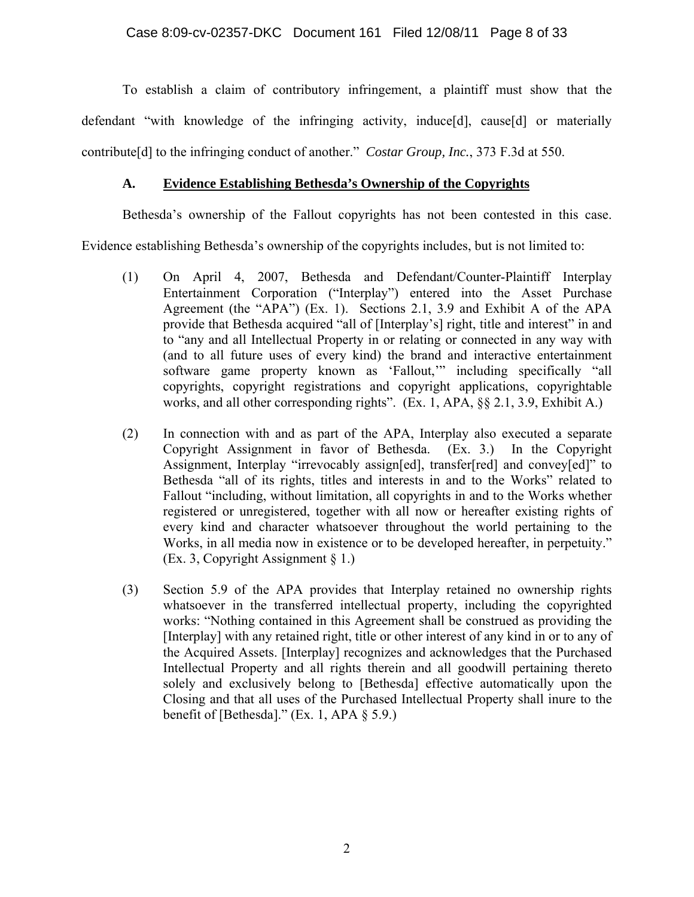To establish a claim of contributory infringement, a plaintiff must show that the defendant "with knowledge of the infringing activity, induce[d], cause[d] or materially contribute[d] to the infringing conduct of another." *Costar Group, Inc.*, 373 F.3d at 550.

#### **A. Evidence Establishing Bethesda's Ownership of the Copyrights**

Bethesda's ownership of the Fallout copyrights has not been contested in this case.

Evidence establishing Bethesda's ownership of the copyrights includes, but is not limited to:

- (1) On April 4, 2007, Bethesda and Defendant/Counter-Plaintiff Interplay Entertainment Corporation ("Interplay") entered into the Asset Purchase Agreement (the "APA") (Ex. 1). Sections 2.1, 3.9 and Exhibit A of the APA provide that Bethesda acquired "all of [Interplay's] right, title and interest" in and to "any and all Intellectual Property in or relating or connected in any way with (and to all future uses of every kind) the brand and interactive entertainment software game property known as 'Fallout,'" including specifically "all copyrights, copyright registrations and copyright applications, copyrightable works, and all other corresponding rights". (Ex. 1, APA, §§ 2.1, 3.9, Exhibit A.)
- (2) In connection with and as part of the APA, Interplay also executed a separate Copyright Assignment in favor of Bethesda. (Ex. 3.) In the Copyright Assignment, Interplay "irrevocably assign[ed], transfer[red] and convey[ed]" to Bethesda "all of its rights, titles and interests in and to the Works" related to Fallout "including, without limitation, all copyrights in and to the Works whether registered or unregistered, together with all now or hereafter existing rights of every kind and character whatsoever throughout the world pertaining to the Works, in all media now in existence or to be developed hereafter, in perpetuity." (Ex. 3, Copyright Assignment § 1.)
- (3) Section 5.9 of the APA provides that Interplay retained no ownership rights whatsoever in the transferred intellectual property, including the copyrighted works: "Nothing contained in this Agreement shall be construed as providing the [Interplay] with any retained right, title or other interest of any kind in or to any of the Acquired Assets. [Interplay] recognizes and acknowledges that the Purchased Intellectual Property and all rights therein and all goodwill pertaining thereto solely and exclusively belong to [Bethesda] effective automatically upon the Closing and that all uses of the Purchased Intellectual Property shall inure to the benefit of [Bethesda]." (Ex. 1, APA  $\S$  5.9.)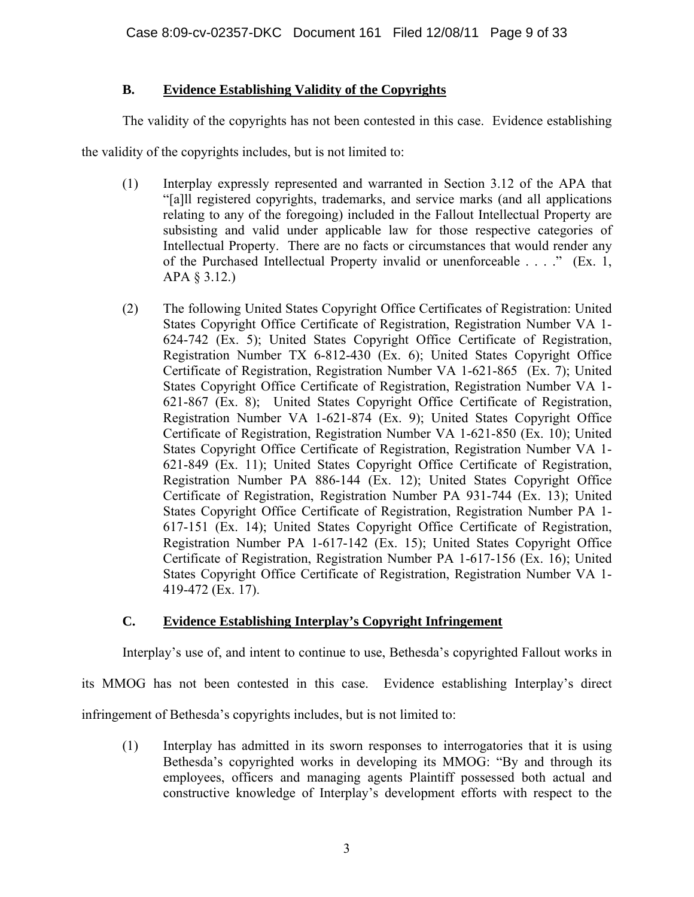## **B. Evidence Establishing Validity of the Copyrights**

The validity of the copyrights has not been contested in this case. Evidence establishing

the validity of the copyrights includes, but is not limited to:

- (1) Interplay expressly represented and warranted in Section 3.12 of the APA that "[a]ll registered copyrights, trademarks, and service marks (and all applications relating to any of the foregoing) included in the Fallout Intellectual Property are subsisting and valid under applicable law for those respective categories of Intellectual Property. There are no facts or circumstances that would render any of the Purchased Intellectual Property invalid or unenforceable . . . ." (Ex. 1, APA § 3.12.)
- (2) The following United States Copyright Office Certificates of Registration: United States Copyright Office Certificate of Registration, Registration Number VA 1- 624-742 (Ex. 5); United States Copyright Office Certificate of Registration, Registration Number TX 6-812-430 (Ex. 6); United States Copyright Office Certificate of Registration, Registration Number VA 1-621-865 (Ex. 7); United States Copyright Office Certificate of Registration, Registration Number VA 1- 621-867 (Ex. 8); United States Copyright Office Certificate of Registration, Registration Number VA 1-621-874 (Ex. 9); United States Copyright Office Certificate of Registration, Registration Number VA 1-621-850 (Ex. 10); United States Copyright Office Certificate of Registration, Registration Number VA 1- 621-849 (Ex. 11); United States Copyright Office Certificate of Registration, Registration Number PA 886-144 (Ex. 12); United States Copyright Office Certificate of Registration, Registration Number PA 931-744 (Ex. 13); United States Copyright Office Certificate of Registration, Registration Number PA 1- 617-151 (Ex. 14); United States Copyright Office Certificate of Registration, Registration Number PA 1-617-142 (Ex. 15); United States Copyright Office Certificate of Registration, Registration Number PA 1-617-156 (Ex. 16); United States Copyright Office Certificate of Registration, Registration Number VA 1- 419-472 (Ex. 17).

## **C. Evidence Establishing Interplay's Copyright Infringement**

Interplay's use of, and intent to continue to use, Bethesda's copyrighted Fallout works in

its MMOG has not been contested in this case. Evidence establishing Interplay's direct

infringement of Bethesda's copyrights includes, but is not limited to:

(1) Interplay has admitted in its sworn responses to interrogatories that it is using Bethesda's copyrighted works in developing its MMOG: "By and through its employees, officers and managing agents Plaintiff possessed both actual and constructive knowledge of Interplay's development efforts with respect to the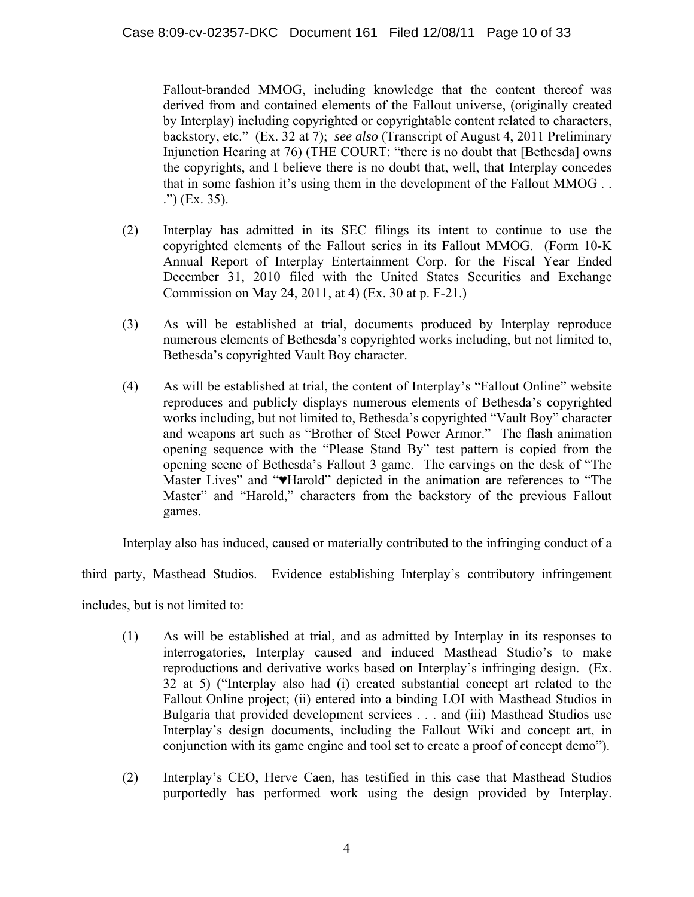Fallout-branded MMOG, including knowledge that the content thereof was derived from and contained elements of the Fallout universe, (originally created by Interplay) including copyrighted or copyrightable content related to characters, backstory, etc." (Ex. 32 at 7); *see also* (Transcript of August 4, 2011 Preliminary Injunction Hearing at 76) (THE COURT: "there is no doubt that [Bethesda] owns the copyrights, and I believe there is no doubt that, well, that Interplay concedes that in some fashion it's using them in the development of the Fallout MMOG . . .") (Ex. 35).

- (2) Interplay has admitted in its SEC filings its intent to continue to use the copyrighted elements of the Fallout series in its Fallout MMOG. (Form 10-K Annual Report of Interplay Entertainment Corp. for the Fiscal Year Ended December 31, 2010 filed with the United States Securities and Exchange Commission on May 24, 2011, at 4) (Ex. 30 at p. F-21.)
- (3) As will be established at trial, documents produced by Interplay reproduce numerous elements of Bethesda's copyrighted works including, but not limited to, Bethesda's copyrighted Vault Boy character.
- (4) As will be established at trial, the content of Interplay's "Fallout Online" website reproduces and publicly displays numerous elements of Bethesda's copyrighted works including, but not limited to, Bethesda's copyrighted "Vault Boy" character and weapons art such as "Brother of Steel Power Armor." The flash animation opening sequence with the "Please Stand By" test pattern is copied from the opening scene of Bethesda's Fallout 3 game. The carvings on the desk of "The Master Lives" and "♥Harold" depicted in the animation are references to "The Master" and "Harold," characters from the backstory of the previous Fallout games.

Interplay also has induced, caused or materially contributed to the infringing conduct of a

third party, Masthead Studios. Evidence establishing Interplay's contributory infringement

includes, but is not limited to:

- (1) As will be established at trial, and as admitted by Interplay in its responses to interrogatories, Interplay caused and induced Masthead Studio's to make reproductions and derivative works based on Interplay's infringing design. (Ex. 32 at 5) ("Interplay also had (i) created substantial concept art related to the Fallout Online project; (ii) entered into a binding LOI with Masthead Studios in Bulgaria that provided development services . . . and (iii) Masthead Studios use Interplay's design documents, including the Fallout Wiki and concept art, in conjunction with its game engine and tool set to create a proof of concept demo").
- (2) Interplay's CEO, Herve Caen, has testified in this case that Masthead Studios purportedly has performed work using the design provided by Interplay.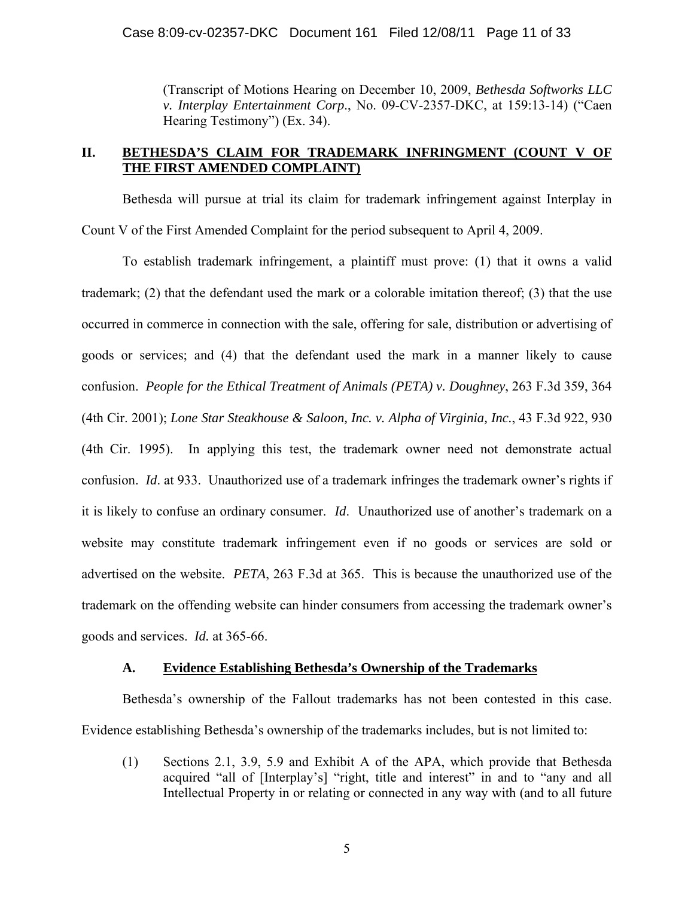(Transcript of Motions Hearing on December 10, 2009, *Bethesda Softworks LLC v. Interplay Entertainment Corp*., No. 09-CV-2357-DKC, at 159:13-14) ("Caen Hearing Testimony") (Ex. 34).

#### **II. BETHESDA'S CLAIM FOR TRADEMARK INFRINGMENT (COUNT V OF THE FIRST AMENDED COMPLAINT)**

Bethesda will pursue at trial its claim for trademark infringement against Interplay in Count V of the First Amended Complaint for the period subsequent to April 4, 2009.

To establish trademark infringement, a plaintiff must prove: (1) that it owns a valid trademark; (2) that the defendant used the mark or a colorable imitation thereof; (3) that the use occurred in commerce in connection with the sale, offering for sale, distribution or advertising of goods or services; and (4) that the defendant used the mark in a manner likely to cause confusion. *People for the Ethical Treatment of Animals (PETA) v. Doughney*, 263 F.3d 359, 364 (4th Cir. 2001); *Lone Star Steakhouse & Saloon, Inc. v. Alpha of Virginia, Inc.*, 43 F.3d 922, 930 (4th Cir. 1995). In applying this test, the trademark owner need not demonstrate actual confusion. *Id*. at 933. Unauthorized use of a trademark infringes the trademark owner's rights if it is likely to confuse an ordinary consumer. *Id*. Unauthorized use of another's trademark on a website may constitute trademark infringement even if no goods or services are sold or advertised on the website. *PETA*, 263 F.3d at 365. This is because the unauthorized use of the trademark on the offending website can hinder consumers from accessing the trademark owner's goods and services. *Id.* at 365-66.

#### **A. Evidence Establishing Bethesda's Ownership of the Trademarks**

Bethesda's ownership of the Fallout trademarks has not been contested in this case. Evidence establishing Bethesda's ownership of the trademarks includes, but is not limited to:

(1) Sections 2.1, 3.9, 5.9 and Exhibit A of the APA, which provide that Bethesda acquired "all of [Interplay's] "right, title and interest" in and to "any and all Intellectual Property in or relating or connected in any way with (and to all future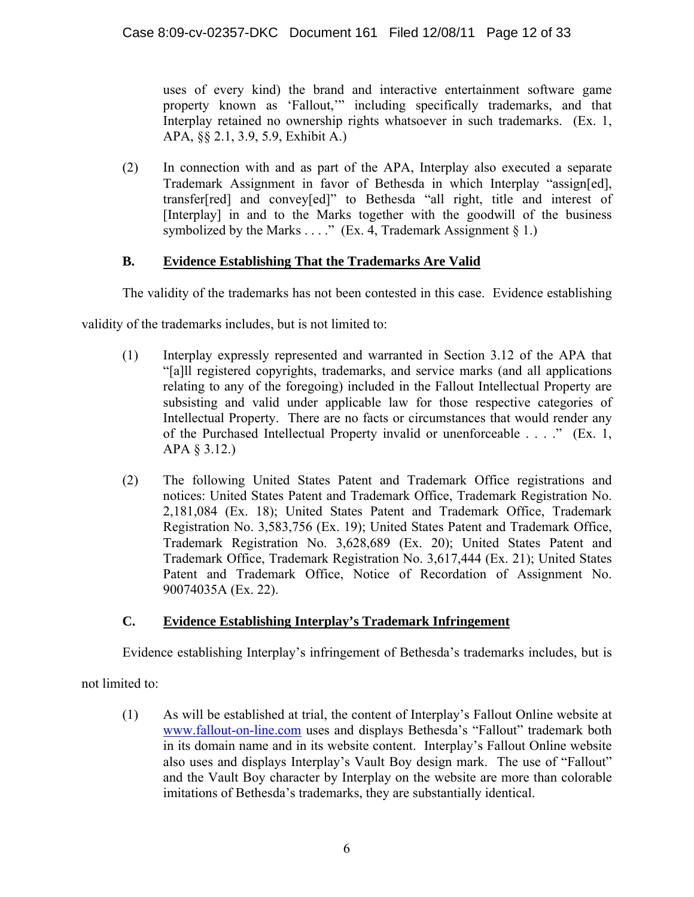uses of every kind) the brand and interactive entertainment software game property known as 'Fallout,'" including specifically trademarks, and that Interplay retained no ownership rights whatsoever in such trademarks. (Ex. 1, APA, §§ 2.1, 3.9, 5.9, Exhibit A.)

(2) In connection with and as part of the APA, Interplay also executed a separate Trademark Assignment in favor of Bethesda in which Interplay "assign[ed], transfer[red] and convey[ed]" to Bethesda "all right, title and interest of [Interplay] in and to the Marks together with the goodwill of the business symbolized by the Marks  $\dots$ ." (Ex. 4, Trademark Assignment § 1.)

## **B. Evidence Establishing That the Trademarks Are Valid**

The validity of the trademarks has not been contested in this case. Evidence establishing

validity of the trademarks includes, but is not limited to:

- (1) Interplay expressly represented and warranted in Section 3.12 of the APA that "[a]ll registered copyrights, trademarks, and service marks (and all applications relating to any of the foregoing) included in the Fallout Intellectual Property are subsisting and valid under applicable law for those respective categories of Intellectual Property. There are no facts or circumstances that would render any of the Purchased Intellectual Property invalid or unenforceable . . . ." (Ex. 1, APA § 3.12.)
- (2) The following United States Patent and Trademark Office registrations and notices: United States Patent and Trademark Office, Trademark Registration No. 2,181,084 (Ex. 18); United States Patent and Trademark Office, Trademark Registration No. 3,583,756 (Ex. 19); United States Patent and Trademark Office, Trademark Registration No. 3,628,689 (Ex. 20); United States Patent and Trademark Office, Trademark Registration No. 3,617,444 (Ex. 21); United States Patent and Trademark Office, Notice of Recordation of Assignment No. 90074035A (Ex. 22).

## **C. Evidence Establishing Interplay's Trademark Infringement**

Evidence establishing Interplay's infringement of Bethesda's trademarks includes, but is

not limited to:

(1) As will be established at trial, the content of Interplay's Fallout Online website at www.fallout-on-line.com uses and displays Bethesda's "Fallout" trademark both in its domain name and in its website content. Interplay's Fallout Online website also uses and displays Interplay's Vault Boy design mark. The use of "Fallout" and the Vault Boy character by Interplay on the website are more than colorable imitations of Bethesda's trademarks, they are substantially identical.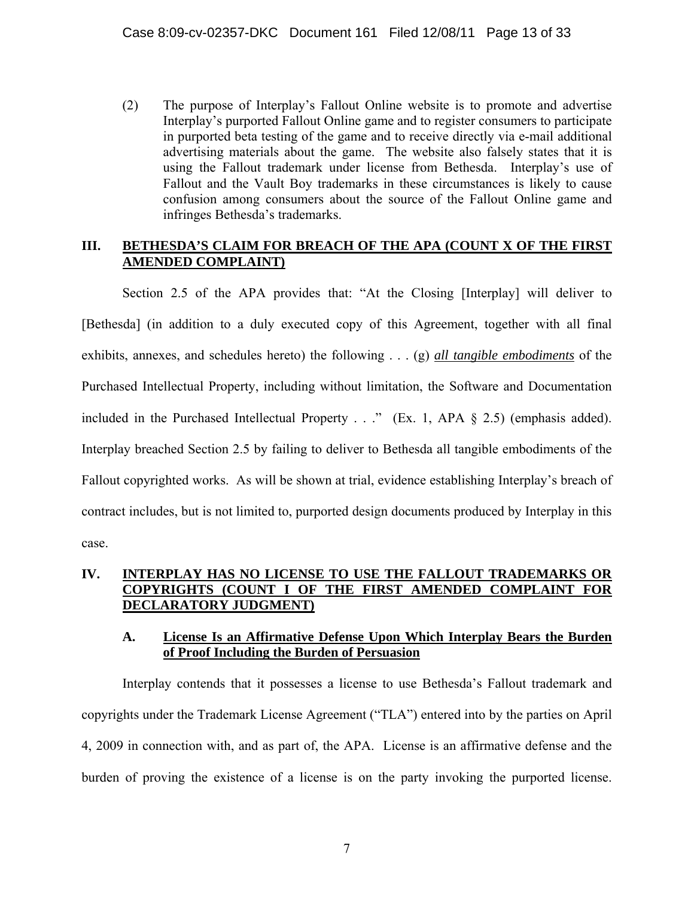(2) The purpose of Interplay's Fallout Online website is to promote and advertise Interplay's purported Fallout Online game and to register consumers to participate in purported beta testing of the game and to receive directly via e-mail additional advertising materials about the game. The website also falsely states that it is using the Fallout trademark under license from Bethesda. Interplay's use of Fallout and the Vault Boy trademarks in these circumstances is likely to cause confusion among consumers about the source of the Fallout Online game and infringes Bethesda's trademarks.

#### III. BETHESDA'S CLAIM FOR BREACH OF THE APA (COUNT X OF THE FIRST **AMENDED COMPLAINT)**

Section 2.5 of the APA provides that: "At the Closing [Interplay] will deliver to [Bethesda] (in addition to a duly executed copy of this Agreement, together with all final exhibits, annexes, and schedules hereto) the following . . . (g) *all tangible embodiments* of the Purchased Intellectual Property, including without limitation, the Software and Documentation included in the Purchased Intellectual Property . . ." (Ex. 1, APA § 2.5) (emphasis added). Interplay breached Section 2.5 by failing to deliver to Bethesda all tangible embodiments of the Fallout copyrighted works. As will be shown at trial, evidence establishing Interplay's breach of contract includes, but is not limited to, purported design documents produced by Interplay in this case.

## **IV. INTERPLAY HAS NO LICENSE TO USE THE FALLOUT TRADEMARKS OR COPYRIGHTS (COUNT I OF THE FIRST AMENDED COMPLAINT FOR DECLARATORY JUDGMENT)**

#### **A. License Is an Affirmative Defense Upon Which Interplay Bears the Burden of Proof Including the Burden of Persuasion**

Interplay contends that it possesses a license to use Bethesda's Fallout trademark and copyrights under the Trademark License Agreement ("TLA") entered into by the parties on April 4, 2009 in connection with, and as part of, the APA. License is an affirmative defense and the burden of proving the existence of a license is on the party invoking the purported license.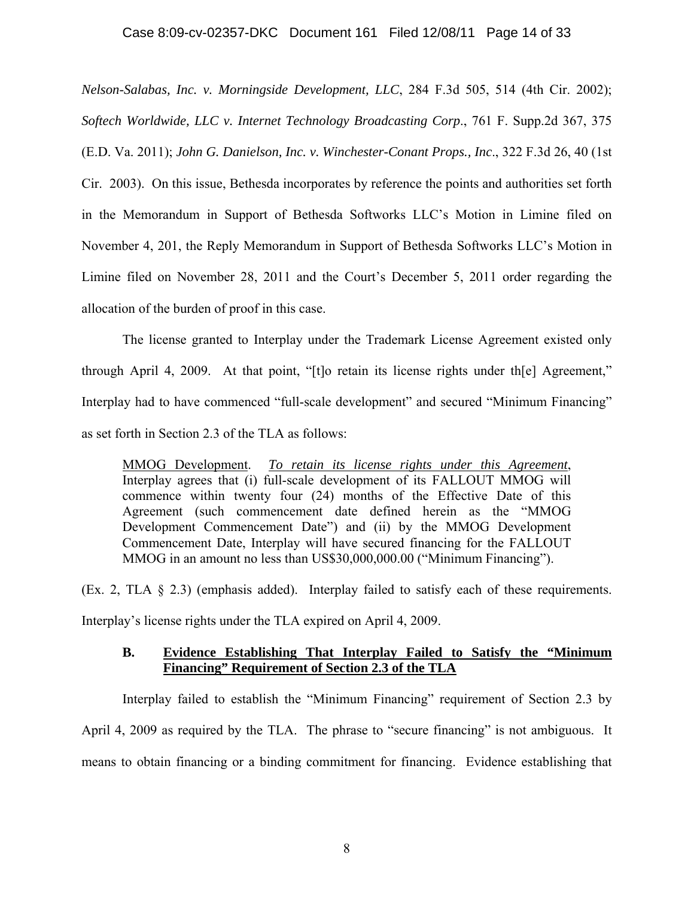*Nelson-Salabas, Inc. v. Morningside Development, LLC*, 284 F.3d 505, 514 (4th Cir. 2002); *Softech Worldwide, LLC v. Internet Technology Broadcasting Corp*., 761 F. Supp.2d 367, 375 (E.D. Va. 2011); *John G. Danielson, Inc. v. Winchester-Conant Props., Inc*., 322 F.3d 26, 40 (1st Cir. 2003). On this issue, Bethesda incorporates by reference the points and authorities set forth in the Memorandum in Support of Bethesda Softworks LLC's Motion in Limine filed on November 4, 201, the Reply Memorandum in Support of Bethesda Softworks LLC's Motion in Limine filed on November 28, 2011 and the Court's December 5, 2011 order regarding the allocation of the burden of proof in this case.

The license granted to Interplay under the Trademark License Agreement existed only through April 4, 2009. At that point, "[t]o retain its license rights under th[e] Agreement," Interplay had to have commenced "full-scale development" and secured "Minimum Financing" as set forth in Section 2.3 of the TLA as follows:

MMOG Development. *To retain its license rights under this Agreement*, Interplay agrees that (i) full-scale development of its FALLOUT MMOG will commence within twenty four (24) months of the Effective Date of this Agreement (such commencement date defined herein as the "MMOG Development Commencement Date") and (ii) by the MMOG Development Commencement Date, Interplay will have secured financing for the FALLOUT MMOG in an amount no less than US\$30,000,000.00 ("Minimum Financing").

(Ex. 2, TLA § 2.3) (emphasis added). Interplay failed to satisfy each of these requirements.

Interplay's license rights under the TLA expired on April 4, 2009.

## **B. Evidence Establishing That Interplay Failed to Satisfy the "Minimum Financing" Requirement of Section 2.3 of the TLA**

Interplay failed to establish the "Minimum Financing" requirement of Section 2.3 by April 4, 2009 as required by the TLA. The phrase to "secure financing" is not ambiguous. It means to obtain financing or a binding commitment for financing. Evidence establishing that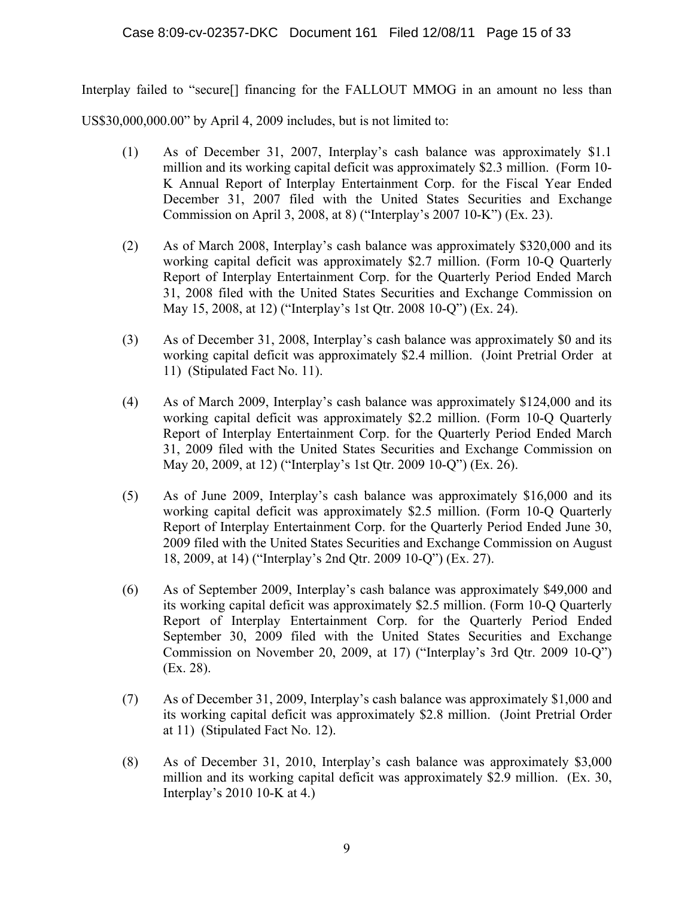Interplay failed to "secure[] financing for the FALLOUT MMOG in an amount no less than

US\$30,000,000.00" by April 4, 2009 includes, but is not limited to:

- (1) As of December 31, 2007, Interplay's cash balance was approximately \$1.1 million and its working capital deficit was approximately \$2.3 million. (Form 10- K Annual Report of Interplay Entertainment Corp. for the Fiscal Year Ended December 31, 2007 filed with the United States Securities and Exchange Commission on April 3, 2008, at 8) ("Interplay's 2007 10-K") (Ex. 23).
- (2) As of March 2008, Interplay's cash balance was approximately \$320,000 and its working capital deficit was approximately \$2.7 million. (Form 10-Q Quarterly Report of Interplay Entertainment Corp. for the Quarterly Period Ended March 31, 2008 filed with the United States Securities and Exchange Commission on May 15, 2008, at 12) ("Interplay's 1st Qtr. 2008 10-Q") (Ex. 24).
- (3) As of December 31, 2008, Interplay's cash balance was approximately \$0 and its working capital deficit was approximately \$2.4 million. (Joint Pretrial Order at 11) (Stipulated Fact No. 11).
- (4) As of March 2009, Interplay's cash balance was approximately \$124,000 and its working capital deficit was approximately \$2.2 million. (Form 10-Q Quarterly Report of Interplay Entertainment Corp. for the Quarterly Period Ended March 31, 2009 filed with the United States Securities and Exchange Commission on May 20, 2009, at 12) ("Interplay's 1st Qtr. 2009 10-Q") (Ex. 26).
- (5) As of June 2009, Interplay's cash balance was approximately \$16,000 and its working capital deficit was approximately \$2.5 million. (Form 10-Q Quarterly Report of Interplay Entertainment Corp. for the Quarterly Period Ended June 30, 2009 filed with the United States Securities and Exchange Commission on August 18, 2009, at 14) ("Interplay's 2nd Qtr. 2009 10-Q") (Ex. 27).
- (6) As of September 2009, Interplay's cash balance was approximately \$49,000 and its working capital deficit was approximately \$2.5 million. (Form 10-Q Quarterly Report of Interplay Entertainment Corp. for the Quarterly Period Ended September 30, 2009 filed with the United States Securities and Exchange Commission on November 20, 2009, at 17) ("Interplay's 3rd Qtr. 2009 10-Q") (Ex. 28).
- (7) As of December 31, 2009, Interplay's cash balance was approximately \$1,000 and its working capital deficit was approximately \$2.8 million. (Joint Pretrial Order at 11) (Stipulated Fact No. 12).
- (8) As of December 31, 2010, Interplay's cash balance was approximately \$3,000 million and its working capital deficit was approximately \$2.9 million. (Ex. 30, Interplay's 2010 10-K at 4.)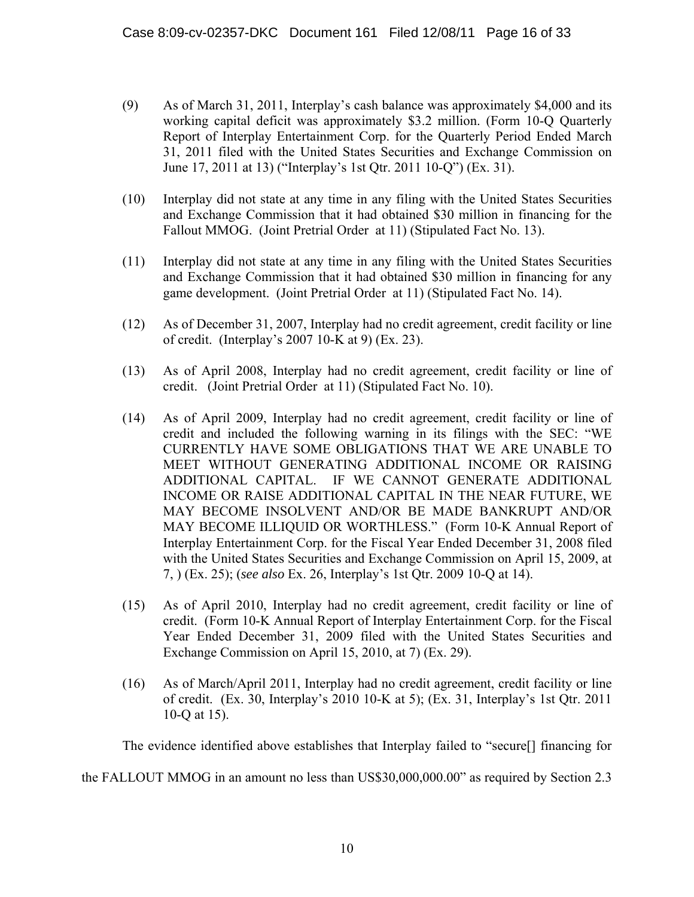- (9) As of March 31, 2011, Interplay's cash balance was approximately \$4,000 and its working capital deficit was approximately \$3.2 million. (Form 10-Q Quarterly Report of Interplay Entertainment Corp. for the Quarterly Period Ended March 31, 2011 filed with the United States Securities and Exchange Commission on June 17, 2011 at 13) ("Interplay's 1st Qtr. 2011 10-Q") (Ex. 31).
- (10) Interplay did not state at any time in any filing with the United States Securities and Exchange Commission that it had obtained \$30 million in financing for the Fallout MMOG. (Joint Pretrial Order at 11) (Stipulated Fact No. 13).
- (11) Interplay did not state at any time in any filing with the United States Securities and Exchange Commission that it had obtained \$30 million in financing for any game development. (Joint Pretrial Order at 11) (Stipulated Fact No. 14).
- (12) As of December 31, 2007, Interplay had no credit agreement, credit facility or line of credit. (Interplay's 2007 10-K at 9) (Ex. 23).
- (13) As of April 2008, Interplay had no credit agreement, credit facility or line of credit. (Joint Pretrial Order at 11) (Stipulated Fact No. 10).
- (14) As of April 2009, Interplay had no credit agreement, credit facility or line of credit and included the following warning in its filings with the SEC: "WE CURRENTLY HAVE SOME OBLIGATIONS THAT WE ARE UNABLE TO MEET WITHOUT GENERATING ADDITIONAL INCOME OR RAISING ADDITIONAL CAPITAL. IF WE CANNOT GENERATE ADDITIONAL INCOME OR RAISE ADDITIONAL CAPITAL IN THE NEAR FUTURE, WE MAY BECOME INSOLVENT AND/OR BE MADE BANKRUPT AND/OR MAY BECOME ILLIQUID OR WORTHLESS." (Form 10-K Annual Report of Interplay Entertainment Corp. for the Fiscal Year Ended December 31, 2008 filed with the United States Securities and Exchange Commission on April 15, 2009, at 7, ) (Ex. 25); (*see also* Ex. 26, Interplay's 1st Qtr. 2009 10-Q at 14).
- (15) As of April 2010, Interplay had no credit agreement, credit facility or line of credit. (Form 10-K Annual Report of Interplay Entertainment Corp. for the Fiscal Year Ended December 31, 2009 filed with the United States Securities and Exchange Commission on April 15, 2010, at 7) (Ex. 29).
- (16) As of March/April 2011, Interplay had no credit agreement, credit facility or line of credit. (Ex. 30, Interplay's 2010 10-K at 5); (Ex. 31, Interplay's 1st Qtr. 2011 10-Q at 15).

The evidence identified above establishes that Interplay failed to "secure[] financing for

the FALLOUT MMOG in an amount no less than US\$30,000,000.00" as required by Section 2.3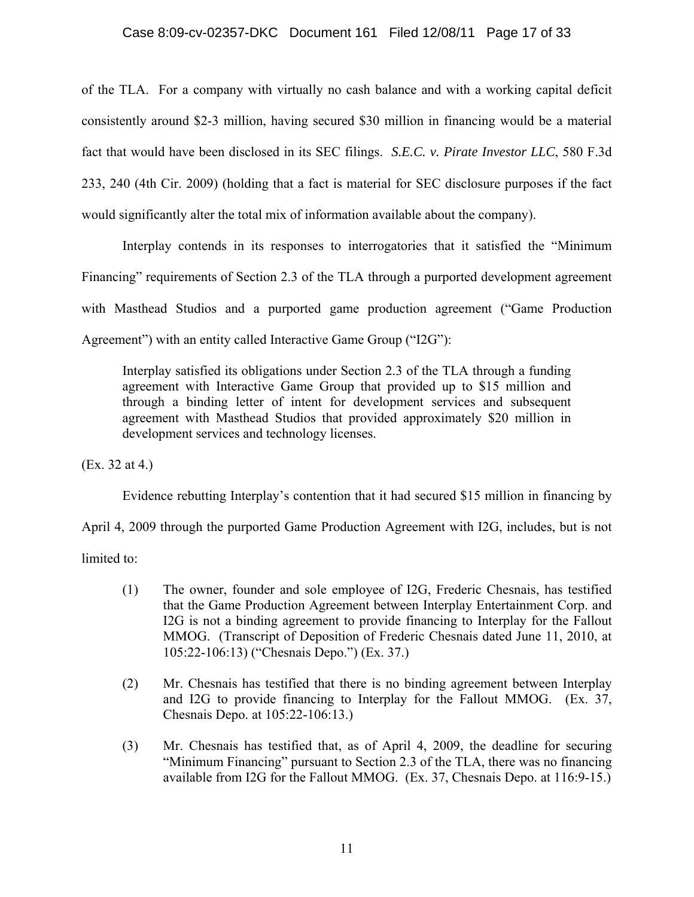of the TLA. For a company with virtually no cash balance and with a working capital deficit consistently around \$2-3 million, having secured \$30 million in financing would be a material fact that would have been disclosed in its SEC filings. *S.E.C. v. Pirate Investor LLC*, 580 F.3d 233, 240 (4th Cir. 2009) (holding that a fact is material for SEC disclosure purposes if the fact would significantly alter the total mix of information available about the company).

Interplay contends in its responses to interrogatories that it satisfied the "Minimum Financing" requirements of Section 2.3 of the TLA through a purported development agreement with Masthead Studios and a purported game production agreement ("Game Production Agreement") with an entity called Interactive Game Group ("I2G"):

Interplay satisfied its obligations under Section 2.3 of the TLA through a funding agreement with Interactive Game Group that provided up to \$15 million and through a binding letter of intent for development services and subsequent agreement with Masthead Studios that provided approximately \$20 million in development services and technology licenses.

(Ex. 32 at 4.)

Evidence rebutting Interplay's contention that it had secured \$15 million in financing by

April 4, 2009 through the purported Game Production Agreement with I2G, includes, but is not

limited to:

- (1) The owner, founder and sole employee of I2G, Frederic Chesnais, has testified that the Game Production Agreement between Interplay Entertainment Corp. and I2G is not a binding agreement to provide financing to Interplay for the Fallout MMOG. (Transcript of Deposition of Frederic Chesnais dated June 11, 2010, at 105:22-106:13) ("Chesnais Depo.") (Ex. 37.)
- (2) Mr. Chesnais has testified that there is no binding agreement between Interplay and I2G to provide financing to Interplay for the Fallout MMOG. (Ex. 37, Chesnais Depo. at 105:22-106:13.)
- (3) Mr. Chesnais has testified that, as of April 4, 2009, the deadline for securing "Minimum Financing" pursuant to Section 2.3 of the TLA, there was no financing available from I2G for the Fallout MMOG. (Ex. 37, Chesnais Depo. at 116:9-15.)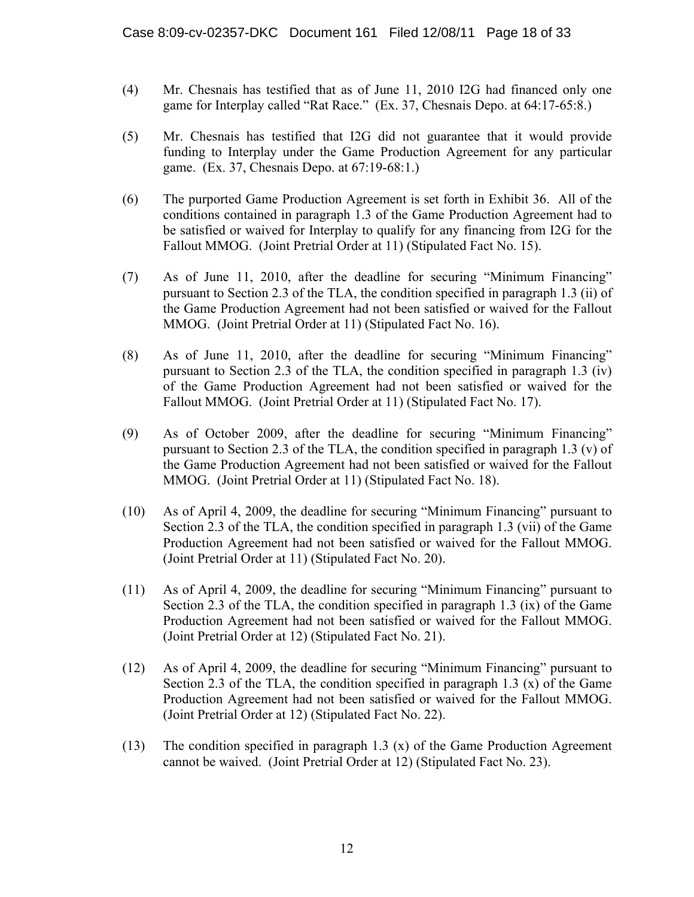- (4) Mr. Chesnais has testified that as of June 11, 2010 I2G had financed only one game for Interplay called "Rat Race." (Ex. 37, Chesnais Depo. at 64:17-65:8.)
- (5) Mr. Chesnais has testified that I2G did not guarantee that it would provide funding to Interplay under the Game Production Agreement for any particular game. (Ex. 37, Chesnais Depo. at 67:19-68:1.)
- (6) The purported Game Production Agreement is set forth in Exhibit 36. All of the conditions contained in paragraph 1.3 of the Game Production Agreement had to be satisfied or waived for Interplay to qualify for any financing from I2G for the Fallout MMOG. (Joint Pretrial Order at 11) (Stipulated Fact No. 15).
- (7) As of June 11, 2010, after the deadline for securing "Minimum Financing" pursuant to Section 2.3 of the TLA, the condition specified in paragraph 1.3 (ii) of the Game Production Agreement had not been satisfied or waived for the Fallout MMOG. (Joint Pretrial Order at 11) (Stipulated Fact No. 16).
- (8) As of June 11, 2010, after the deadline for securing "Minimum Financing" pursuant to Section 2.3 of the TLA, the condition specified in paragraph 1.3 (iv) of the Game Production Agreement had not been satisfied or waived for the Fallout MMOG. (Joint Pretrial Order at 11) (Stipulated Fact No. 17).
- (9) As of October 2009, after the deadline for securing "Minimum Financing" pursuant to Section 2.3 of the TLA, the condition specified in paragraph 1.3 (v) of the Game Production Agreement had not been satisfied or waived for the Fallout MMOG. (Joint Pretrial Order at 11) (Stipulated Fact No. 18).
- (10) As of April 4, 2009, the deadline for securing "Minimum Financing" pursuant to Section 2.3 of the TLA, the condition specified in paragraph 1.3 (vii) of the Game Production Agreement had not been satisfied or waived for the Fallout MMOG. (Joint Pretrial Order at 11) (Stipulated Fact No. 20).
- (11) As of April 4, 2009, the deadline for securing "Minimum Financing" pursuant to Section 2.3 of the TLA, the condition specified in paragraph 1.3 (ix) of the Game Production Agreement had not been satisfied or waived for the Fallout MMOG. (Joint Pretrial Order at 12) (Stipulated Fact No. 21).
- (12) As of April 4, 2009, the deadline for securing "Minimum Financing" pursuant to Section 2.3 of the TLA, the condition specified in paragraph 1.3  $(x)$  of the Game Production Agreement had not been satisfied or waived for the Fallout MMOG. (Joint Pretrial Order at 12) (Stipulated Fact No. 22).
- (13) The condition specified in paragraph 1.3 (x) of the Game Production Agreement cannot be waived. (Joint Pretrial Order at 12) (Stipulated Fact No. 23).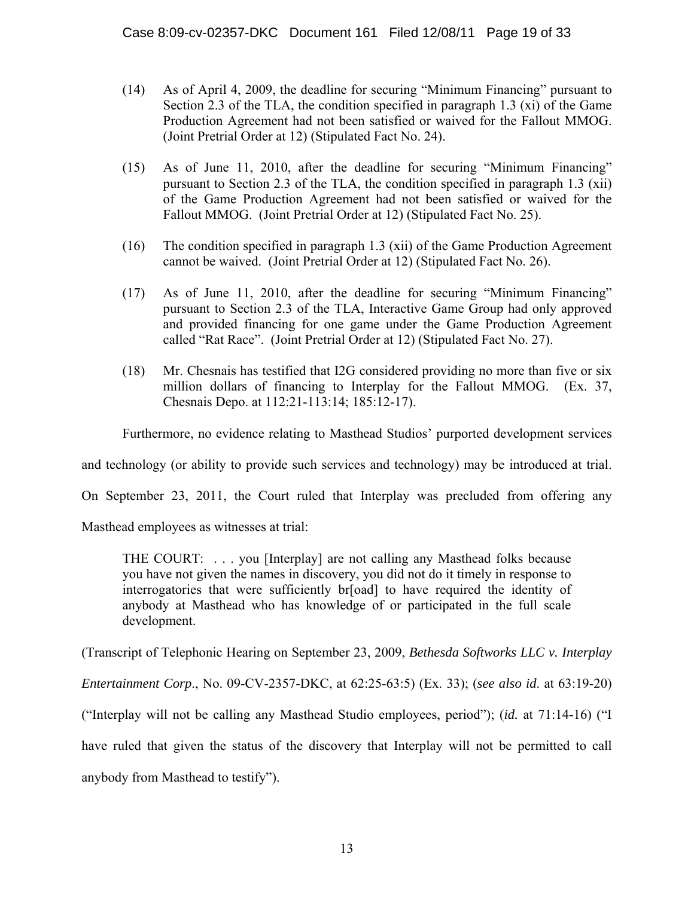- (14) As of April 4, 2009, the deadline for securing "Minimum Financing" pursuant to Section 2.3 of the TLA, the condition specified in paragraph 1.3 (xi) of the Game Production Agreement had not been satisfied or waived for the Fallout MMOG. (Joint Pretrial Order at 12) (Stipulated Fact No. 24).
- (15) As of June 11, 2010, after the deadline for securing "Minimum Financing" pursuant to Section 2.3 of the TLA, the condition specified in paragraph 1.3 (xii) of the Game Production Agreement had not been satisfied or waived for the Fallout MMOG. (Joint Pretrial Order at 12) (Stipulated Fact No. 25).
- (16) The condition specified in paragraph 1.3 (xii) of the Game Production Agreement cannot be waived. (Joint Pretrial Order at 12) (Stipulated Fact No. 26).
- (17) As of June 11, 2010, after the deadline for securing "Minimum Financing" pursuant to Section 2.3 of the TLA, Interactive Game Group had only approved and provided financing for one game under the Game Production Agreement called "Rat Race". (Joint Pretrial Order at 12) (Stipulated Fact No. 27).
- (18) Mr. Chesnais has testified that I2G considered providing no more than five or six million dollars of financing to Interplay for the Fallout MMOG. (Ex. 37, Chesnais Depo. at 112:21-113:14; 185:12-17).

Furthermore, no evidence relating to Masthead Studios' purported development services

and technology (or ability to provide such services and technology) may be introduced at trial.

On September 23, 2011, the Court ruled that Interplay was precluded from offering any

Masthead employees as witnesses at trial:

THE COURT: . . . you [Interplay] are not calling any Masthead folks because you have not given the names in discovery, you did not do it timely in response to interrogatories that were sufficiently br[oad] to have required the identity of anybody at Masthead who has knowledge of or participated in the full scale development.

(Transcript of Telephonic Hearing on September 23, 2009, *Bethesda Softworks LLC v. Interplay* 

*Entertainment Corp*., No. 09-CV-2357-DKC, at 62:25-63:5) (Ex. 33); (*see also id*. at 63:19-20)

("Interplay will not be calling any Masthead Studio employees, period"); (*id.* at 71:14-16) ("I

have ruled that given the status of the discovery that Interplay will not be permitted to call

anybody from Masthead to testify").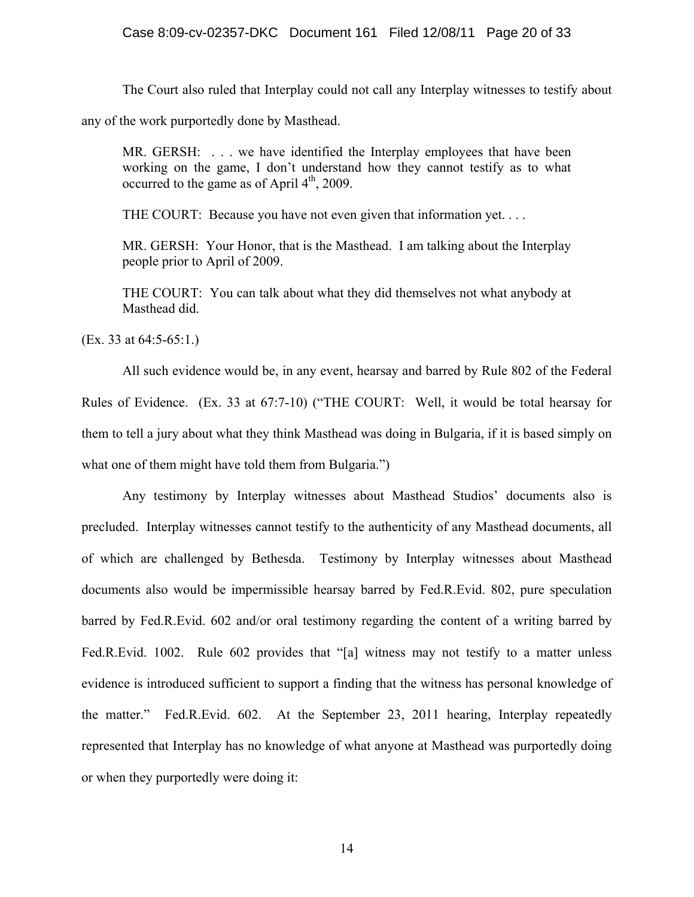The Court also ruled that Interplay could not call any Interplay witnesses to testify about

any of the work purportedly done by Masthead.

MR. GERSH: ... we have identified the Interplay employees that have been working on the game, I don't understand how they cannot testify as to what occurred to the game as of April  $4<sup>th</sup>$ , 2009.

THE COURT: Because you have not even given that information yet. . . .

MR. GERSH: Your Honor, that is the Masthead. I am talking about the Interplay people prior to April of 2009.

THE COURT: You can talk about what they did themselves not what anybody at Masthead did.

(Ex. 33 at 64:5-65:1.)

All such evidence would be, in any event, hearsay and barred by Rule 802 of the Federal Rules of Evidence. (Ex. 33 at 67:7-10) ("THE COURT: Well, it would be total hearsay for them to tell a jury about what they think Masthead was doing in Bulgaria, if it is based simply on what one of them might have told them from Bulgaria.")

Any testimony by Interplay witnesses about Masthead Studios' documents also is precluded. Interplay witnesses cannot testify to the authenticity of any Masthead documents, all of which are challenged by Bethesda. Testimony by Interplay witnesses about Masthead documents also would be impermissible hearsay barred by Fed.R.Evid. 802, pure speculation barred by Fed.R.Evid. 602 and/or oral testimony regarding the content of a writing barred by Fed.R.Evid. 1002. Rule 602 provides that "[a] witness may not testify to a matter unless evidence is introduced sufficient to support a finding that the witness has personal knowledge of the matter." Fed.R.Evid. 602. At the September 23, 2011 hearing, Interplay repeatedly represented that Interplay has no knowledge of what anyone at Masthead was purportedly doing or when they purportedly were doing it: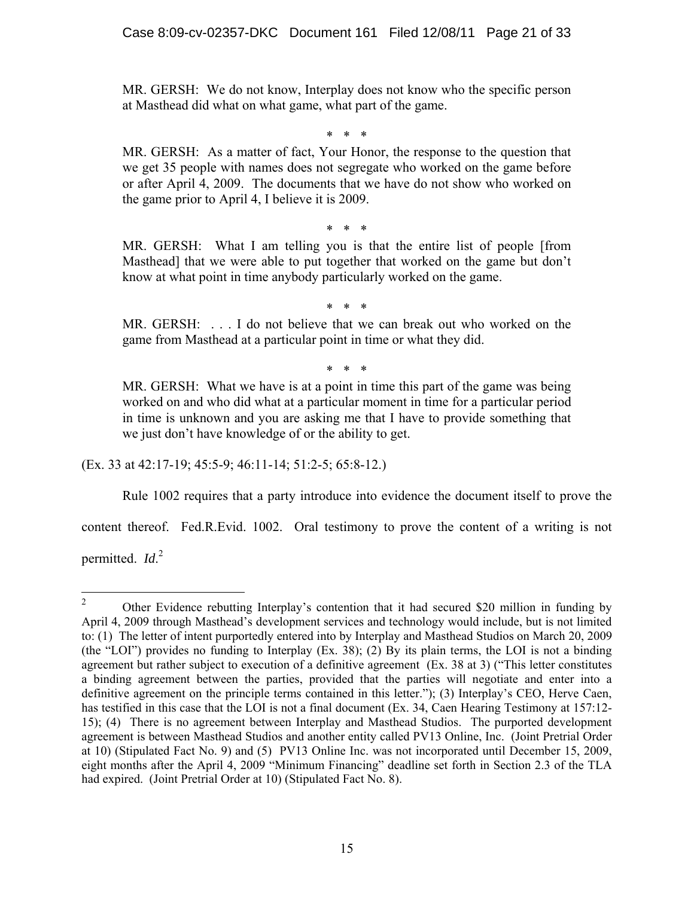MR. GERSH: We do not know, Interplay does not know who the specific person at Masthead did what on what game, what part of the game.

\* \* \*

MR. GERSH: As a matter of fact, Your Honor, the response to the question that we get 35 people with names does not segregate who worked on the game before or after April 4, 2009. The documents that we have do not show who worked on the game prior to April 4, I believe it is 2009.

\* \* \*

MR. GERSH: What I am telling you is that the entire list of people [from Masthead] that we were able to put together that worked on the game but don't know at what point in time anybody particularly worked on the game.

\* \* \*

MR. GERSH: . . . I do not believe that we can break out who worked on the game from Masthead at a particular point in time or what they did.

\* \* \*

MR. GERSH: What we have is at a point in time this part of the game was being worked on and who did what at a particular moment in time for a particular period in time is unknown and you are asking me that I have to provide something that we just don't have knowledge of or the ability to get.

(Ex. 33 at 42:17-19; 45:5-9; 46:11-14; 51:2-5; 65:8-12.)

Rule 1002 requires that a party introduce into evidence the document itself to prove the

content thereof. Fed.R.Evid. 1002. Oral testimony to prove the content of a writing is not

permitted. *Id*. 2

 $\frac{1}{2}$  Other Evidence rebutting Interplay's contention that it had secured \$20 million in funding by April 4, 2009 through Masthead's development services and technology would include, but is not limited to: (1) The letter of intent purportedly entered into by Interplay and Masthead Studios on March 20, 2009 (the "LOI") provides no funding to Interplay (Ex. 38); (2) By its plain terms, the LOI is not a binding agreement but rather subject to execution of a definitive agreement (Ex. 38 at 3) ("This letter constitutes a binding agreement between the parties, provided that the parties will negotiate and enter into a definitive agreement on the principle terms contained in this letter."); (3) Interplay's CEO, Herve Caen, has testified in this case that the LOI is not a final document (Ex. 34, Caen Hearing Testimony at 157:12- 15); (4) There is no agreement between Interplay and Masthead Studios. The purported development agreement is between Masthead Studios and another entity called PV13 Online, Inc. (Joint Pretrial Order at 10) (Stipulated Fact No. 9) and (5) PV13 Online Inc. was not incorporated until December 15, 2009, eight months after the April 4, 2009 "Minimum Financing" deadline set forth in Section 2.3 of the TLA had expired. (Joint Pretrial Order at 10) (Stipulated Fact No. 8).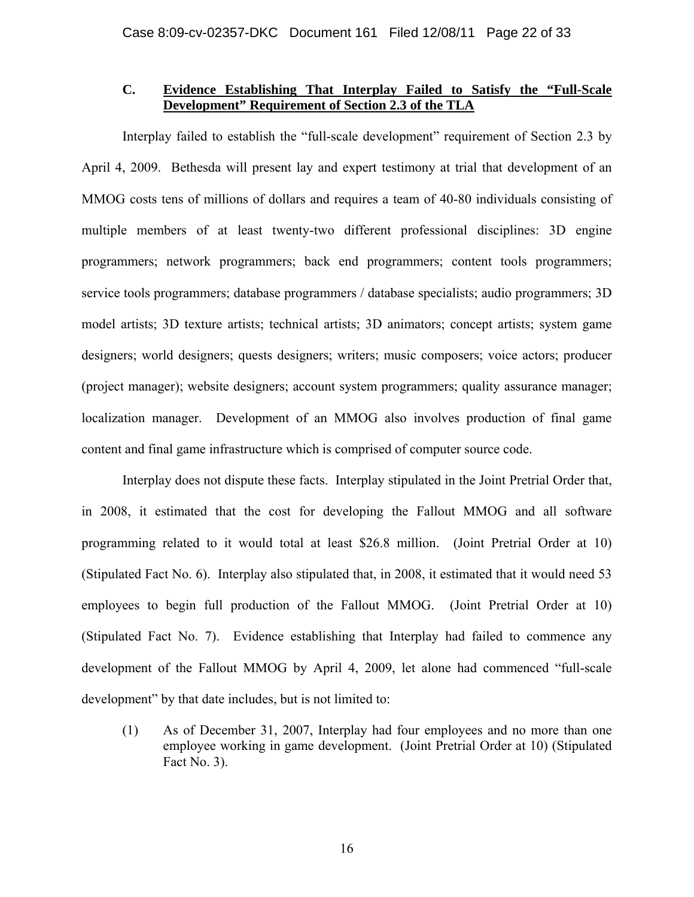#### **C. Evidence Establishing That Interplay Failed to Satisfy the "Full-Scale Development" Requirement of Section 2.3 of the TLA**

Interplay failed to establish the "full-scale development" requirement of Section 2.3 by April 4, 2009. Bethesda will present lay and expert testimony at trial that development of an MMOG costs tens of millions of dollars and requires a team of 40-80 individuals consisting of multiple members of at least twenty-two different professional disciplines: 3D engine programmers; network programmers; back end programmers; content tools programmers; service tools programmers; database programmers / database specialists; audio programmers; 3D model artists; 3D texture artists; technical artists; 3D animators; concept artists; system game designers; world designers; quests designers; writers; music composers; voice actors; producer (project manager); website designers; account system programmers; quality assurance manager; localization manager. Development of an MMOG also involves production of final game content and final game infrastructure which is comprised of computer source code.

Interplay does not dispute these facts. Interplay stipulated in the Joint Pretrial Order that, in 2008, it estimated that the cost for developing the Fallout MMOG and all software programming related to it would total at least \$26.8 million. (Joint Pretrial Order at 10) (Stipulated Fact No. 6). Interplay also stipulated that, in 2008, it estimated that it would need 53 employees to begin full production of the Fallout MMOG. (Joint Pretrial Order at 10) (Stipulated Fact No. 7). Evidence establishing that Interplay had failed to commence any development of the Fallout MMOG by April 4, 2009, let alone had commenced "full-scale development" by that date includes, but is not limited to:

(1) As of December 31, 2007, Interplay had four employees and no more than one employee working in game development. (Joint Pretrial Order at 10) (Stipulated Fact No. 3).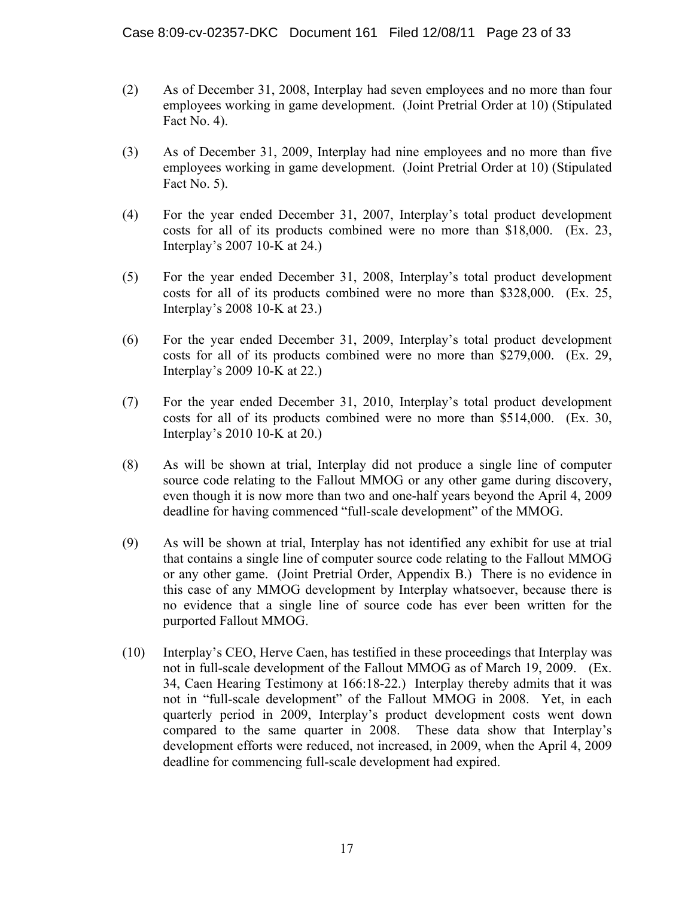- (2) As of December 31, 2008, Interplay had seven employees and no more than four employees working in game development. (Joint Pretrial Order at 10) (Stipulated Fact No. 4).
- (3) As of December 31, 2009, Interplay had nine employees and no more than five employees working in game development. (Joint Pretrial Order at 10) (Stipulated Fact No. 5).
- (4) For the year ended December 31, 2007, Interplay's total product development costs for all of its products combined were no more than \$18,000. (Ex. 23, Interplay's 2007 10-K at 24.)
- (5) For the year ended December 31, 2008, Interplay's total product development costs for all of its products combined were no more than \$328,000. (Ex. 25, Interplay's 2008 10-K at 23.)
- (6) For the year ended December 31, 2009, Interplay's total product development costs for all of its products combined were no more than \$279,000. (Ex. 29, Interplay's 2009 10-K at 22.)
- (7) For the year ended December 31, 2010, Interplay's total product development costs for all of its products combined were no more than \$514,000. (Ex. 30, Interplay's 2010 10-K at 20.)
- (8) As will be shown at trial, Interplay did not produce a single line of computer source code relating to the Fallout MMOG or any other game during discovery, even though it is now more than two and one-half years beyond the April 4, 2009 deadline for having commenced "full-scale development" of the MMOG.
- (9) As will be shown at trial, Interplay has not identified any exhibit for use at trial that contains a single line of computer source code relating to the Fallout MMOG or any other game. (Joint Pretrial Order, Appendix B.) There is no evidence in this case of any MMOG development by Interplay whatsoever, because there is no evidence that a single line of source code has ever been written for the purported Fallout MMOG.
- (10) Interplay's CEO, Herve Caen, has testified in these proceedings that Interplay was not in full-scale development of the Fallout MMOG as of March 19, 2009. (Ex. 34, Caen Hearing Testimony at 166:18-22.) Interplay thereby admits that it was not in "full-scale development" of the Fallout MMOG in 2008. Yet, in each quarterly period in 2009, Interplay's product development costs went down compared to the same quarter in 2008. These data show that Interplay's development efforts were reduced, not increased, in 2009, when the April 4, 2009 deadline for commencing full-scale development had expired.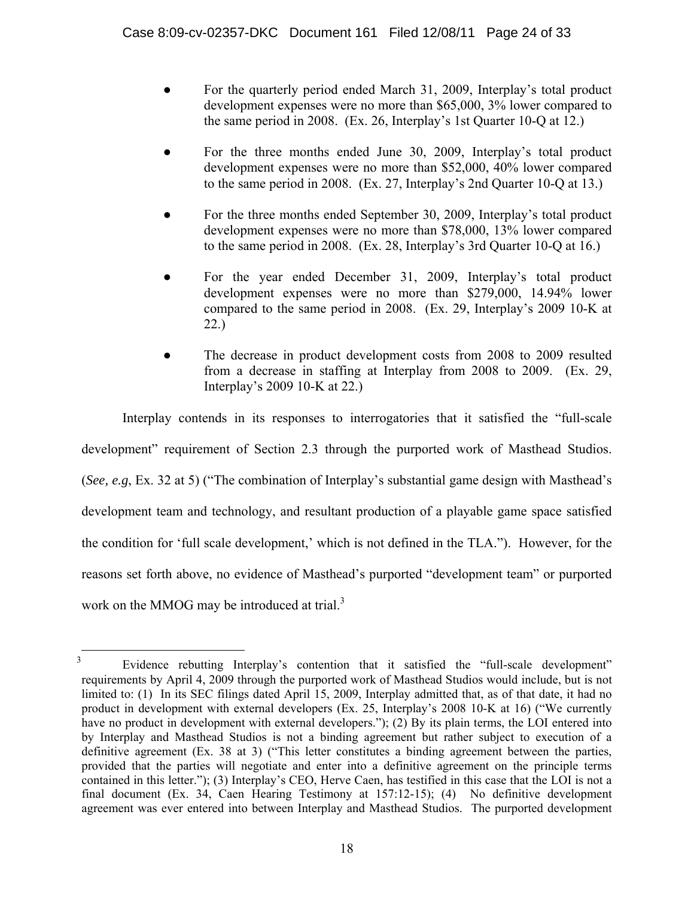- For the quarterly period ended March 31, 2009, Interplay's total product development expenses were no more than \$65,000, 3% lower compared to the same period in 2008. (Ex. 26, Interplay's 1st Quarter 10-Q at 12.)
- For the three months ended June 30, 2009, Interplay's total product development expenses were no more than \$52,000, 40% lower compared to the same period in 2008. (Ex. 27, Interplay's 2nd Quarter 10-Q at 13.)
- For the three months ended September 30, 2009, Interplay's total product development expenses were no more than \$78,000, 13% lower compared to the same period in 2008. (Ex. 28, Interplay's 3rd Quarter 10-Q at 16.)
- For the year ended December 31, 2009, Interplay's total product development expenses were no more than \$279,000, 14.94% lower compared to the same period in 2008. (Ex. 29, Interplay's 2009 10-K at 22.)
- The decrease in product development costs from 2008 to 2009 resulted from a decrease in staffing at Interplay from 2008 to 2009. (Ex. 29, Interplay's 2009 10-K at 22.)

Interplay contends in its responses to interrogatories that it satisfied the "full-scale development" requirement of Section 2.3 through the purported work of Masthead Studios. (*See, e.g*, Ex. 32 at 5) ("The combination of Interplay's substantial game design with Masthead's development team and technology, and resultant production of a playable game space satisfied the condition for 'full scale development,' which is not defined in the TLA."). However, for the reasons set forth above, no evidence of Masthead's purported "development team" or purported work on the MMOG may be introduced at trial. $3$ 

 $\frac{1}{3}$  Evidence rebutting Interplay's contention that it satisfied the "full-scale development" requirements by April 4, 2009 through the purported work of Masthead Studios would include, but is not limited to: (1) In its SEC filings dated April 15, 2009, Interplay admitted that, as of that date, it had no product in development with external developers (Ex. 25, Interplay's 2008 10-K at 16) ("We currently have no product in development with external developers."); (2) By its plain terms, the LOI entered into by Interplay and Masthead Studios is not a binding agreement but rather subject to execution of a definitive agreement (Ex. 38 at 3) ("This letter constitutes a binding agreement between the parties, provided that the parties will negotiate and enter into a definitive agreement on the principle terms contained in this letter."); (3) Interplay's CEO, Herve Caen, has testified in this case that the LOI is not a final document (Ex. 34, Caen Hearing Testimony at 157:12-15); (4) No definitive development agreement was ever entered into between Interplay and Masthead Studios. The purported development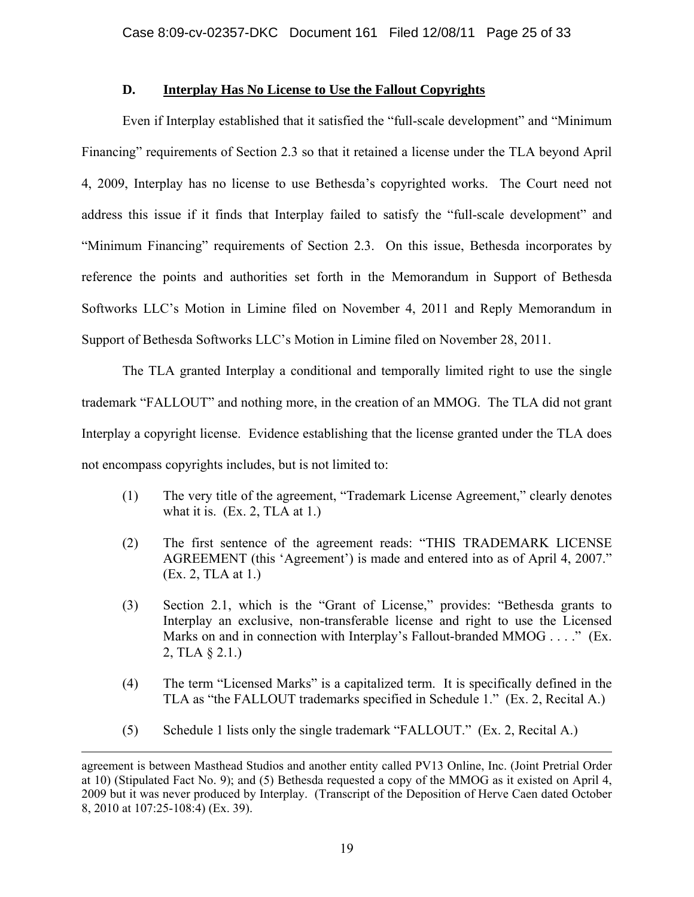#### **D. Interplay Has No License to Use the Fallout Copyrights**

Even if Interplay established that it satisfied the "full-scale development" and "Minimum Financing" requirements of Section 2.3 so that it retained a license under the TLA beyond April 4, 2009, Interplay has no license to use Bethesda's copyrighted works. The Court need not address this issue if it finds that Interplay failed to satisfy the "full-scale development" and "Minimum Financing" requirements of Section 2.3. On this issue, Bethesda incorporates by reference the points and authorities set forth in the Memorandum in Support of Bethesda Softworks LLC's Motion in Limine filed on November 4, 2011 and Reply Memorandum in Support of Bethesda Softworks LLC's Motion in Limine filed on November 28, 2011.

The TLA granted Interplay a conditional and temporally limited right to use the single trademark "FALLOUT" and nothing more, in the creation of an MMOG. The TLA did not grant Interplay a copyright license. Evidence establishing that the license granted under the TLA does not encompass copyrights includes, but is not limited to:

- (1) The very title of the agreement, "Trademark License Agreement," clearly denotes what it is.  $(Ex. 2, TLA at 1.)$
- (2) The first sentence of the agreement reads: "THIS TRADEMARK LICENSE AGREEMENT (this 'Agreement') is made and entered into as of April 4, 2007." (Ex. 2, TLA at 1.)
- (3) Section 2.1, which is the "Grant of License," provides: "Bethesda grants to Interplay an exclusive, non-transferable license and right to use the Licensed Marks on and in connection with Interplay's Fallout-branded MMOG . . . ." (Ex. 2, TLA § 2.1.)
- (4) The term "Licensed Marks" is a capitalized term. It is specifically defined in the TLA as "the FALLOUT trademarks specified in Schedule 1." (Ex. 2, Recital A.)
- (5) Schedule 1 lists only the single trademark "FALLOUT." (Ex. 2, Recital A.)

 $\overline{a}$ 

agreement is between Masthead Studios and another entity called PV13 Online, Inc. (Joint Pretrial Order at 10) (Stipulated Fact No. 9); and (5) Bethesda requested a copy of the MMOG as it existed on April 4, 2009 but it was never produced by Interplay. (Transcript of the Deposition of Herve Caen dated October 8, 2010 at 107:25-108:4) (Ex. 39).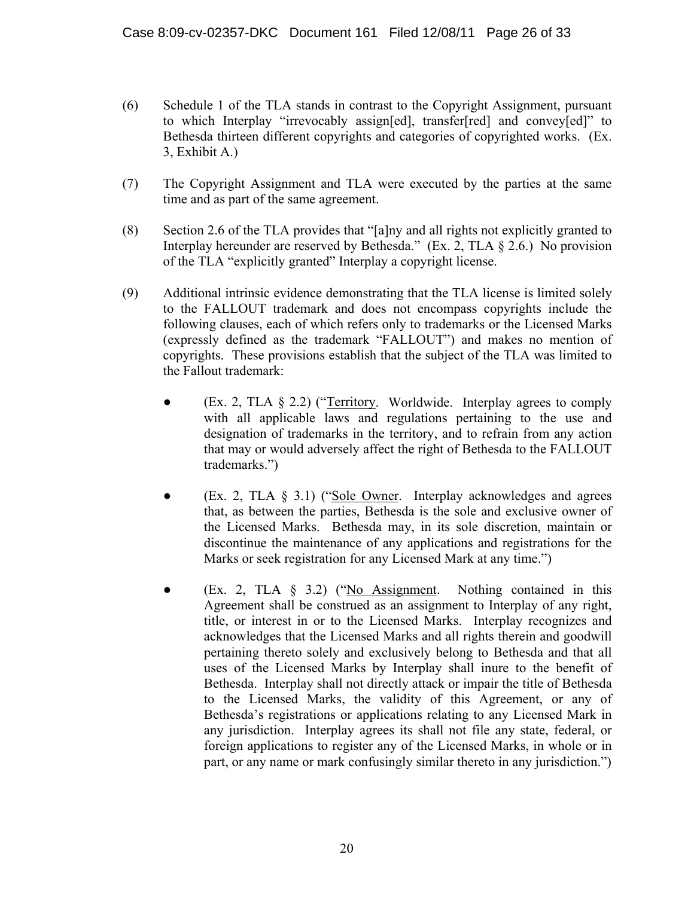- (6) Schedule 1 of the TLA stands in contrast to the Copyright Assignment, pursuant to which Interplay "irrevocably assign[ed], transfer[red] and convey[ed]" to Bethesda thirteen different copyrights and categories of copyrighted works. (Ex. 3, Exhibit A.)
- (7) The Copyright Assignment and TLA were executed by the parties at the same time and as part of the same agreement.
- (8) Section 2.6 of the TLA provides that "[a]ny and all rights not explicitly granted to Interplay hereunder are reserved by Bethesda." (Ex. 2, TLA § 2.6.) No provision of the TLA "explicitly granted" Interplay a copyright license.
- (9) Additional intrinsic evidence demonstrating that the TLA license is limited solely to the FALLOUT trademark and does not encompass copyrights include the following clauses, each of which refers only to trademarks or the Licensed Marks (expressly defined as the trademark "FALLOUT") and makes no mention of copyrights. These provisions establish that the subject of the TLA was limited to the Fallout trademark:
	- (Ex. 2, TLA § 2.2) ("Territory. Worldwide. Interplay agrees to comply with all applicable laws and regulations pertaining to the use and designation of trademarks in the territory, and to refrain from any action that may or would adversely affect the right of Bethesda to the FALLOUT trademarks.")
	- (Ex. 2, TLA  $\S$  3.1) ("Sole Owner. Interplay acknowledges and agrees that, as between the parties, Bethesda is the sole and exclusive owner of the Licensed Marks. Bethesda may, in its sole discretion, maintain or discontinue the maintenance of any applications and registrations for the Marks or seek registration for any Licensed Mark at any time.")
	- (Ex. 2, TLA § 3.2) ("No Assignment. Nothing contained in this Agreement shall be construed as an assignment to Interplay of any right, title, or interest in or to the Licensed Marks. Interplay recognizes and acknowledges that the Licensed Marks and all rights therein and goodwill pertaining thereto solely and exclusively belong to Bethesda and that all uses of the Licensed Marks by Interplay shall inure to the benefit of Bethesda. Interplay shall not directly attack or impair the title of Bethesda to the Licensed Marks, the validity of this Agreement, or any of Bethesda's registrations or applications relating to any Licensed Mark in any jurisdiction. Interplay agrees its shall not file any state, federal, or foreign applications to register any of the Licensed Marks, in whole or in part, or any name or mark confusingly similar thereto in any jurisdiction.")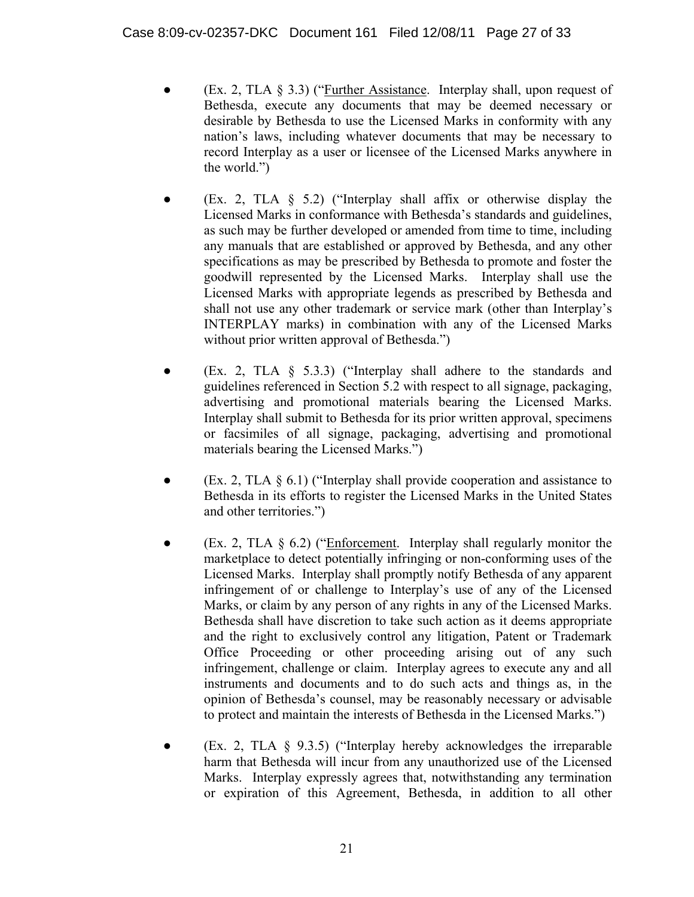- (Ex. 2, TLA  $\S$  3.3) ("Further Assistance. Interplay shall, upon request of Bethesda, execute any documents that may be deemed necessary or desirable by Bethesda to use the Licensed Marks in conformity with any nation's laws, including whatever documents that may be necessary to record Interplay as a user or licensee of the Licensed Marks anywhere in the world.")
- (Ex. 2, TLA  $\S$  5.2) ("Interplay shall affix or otherwise display the Licensed Marks in conformance with Bethesda's standards and guidelines, as such may be further developed or amended from time to time, including any manuals that are established or approved by Bethesda, and any other specifications as may be prescribed by Bethesda to promote and foster the goodwill represented by the Licensed Marks. Interplay shall use the Licensed Marks with appropriate legends as prescribed by Bethesda and shall not use any other trademark or service mark (other than Interplay's INTERPLAY marks) in combination with any of the Licensed Marks without prior written approval of Bethesda.")
- (Ex. 2, TLA  $\S$  5.3.3) ("Interplay shall adhere to the standards and guidelines referenced in Section 5.2 with respect to all signage, packaging, advertising and promotional materials bearing the Licensed Marks. Interplay shall submit to Bethesda for its prior written approval, specimens or facsimiles of all signage, packaging, advertising and promotional materials bearing the Licensed Marks.")
- (Ex. 2, TLA  $\S$  6.1) ("Interplay shall provide cooperation and assistance to Bethesda in its efforts to register the Licensed Marks in the United States and other territories.")
- $(Ex. 2, TLA \S 6.2)$  ("Enforcement. Interplay shall regularly monitor the marketplace to detect potentially infringing or non-conforming uses of the Licensed Marks. Interplay shall promptly notify Bethesda of any apparent infringement of or challenge to Interplay's use of any of the Licensed Marks, or claim by any person of any rights in any of the Licensed Marks. Bethesda shall have discretion to take such action as it deems appropriate and the right to exclusively control any litigation, Patent or Trademark Office Proceeding or other proceeding arising out of any such infringement, challenge or claim. Interplay agrees to execute any and all instruments and documents and to do such acts and things as, in the opinion of Bethesda's counsel, may be reasonably necessary or advisable to protect and maintain the interests of Bethesda in the Licensed Marks.")
- $(Ex. 2, TLA \S 9.3.5)$  ("Interplay hereby acknowledges the irreparable harm that Bethesda will incur from any unauthorized use of the Licensed Marks. Interplay expressly agrees that, notwithstanding any termination or expiration of this Agreement, Bethesda, in addition to all other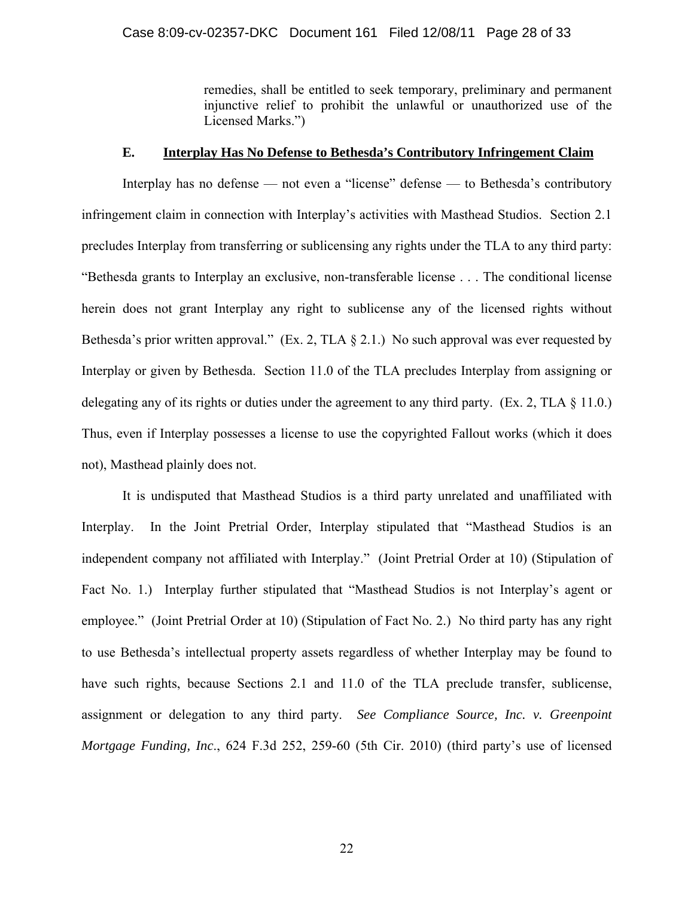remedies, shall be entitled to seek temporary, preliminary and permanent injunctive relief to prohibit the unlawful or unauthorized use of the Licensed Marks.")

#### **E. Interplay Has No Defense to Bethesda's Contributory Infringement Claim**

Interplay has no defense — not even a "license" defense — to Bethesda's contributory infringement claim in connection with Interplay's activities with Masthead Studios. Section 2.1 precludes Interplay from transferring or sublicensing any rights under the TLA to any third party: "Bethesda grants to Interplay an exclusive, non-transferable license . . . The conditional license herein does not grant Interplay any right to sublicense any of the licensed rights without Bethesda's prior written approval." (Ex. 2, TLA  $\S$  2.1.) No such approval was ever requested by Interplay or given by Bethesda. Section 11.0 of the TLA precludes Interplay from assigning or delegating any of its rights or duties under the agreement to any third party. (Ex. 2, TLA § 11.0.) Thus, even if Interplay possesses a license to use the copyrighted Fallout works (which it does not), Masthead plainly does not.

It is undisputed that Masthead Studios is a third party unrelated and unaffiliated with Interplay. In the Joint Pretrial Order, Interplay stipulated that "Masthead Studios is an independent company not affiliated with Interplay." (Joint Pretrial Order at 10) (Stipulation of Fact No. 1.) Interplay further stipulated that "Masthead Studios is not Interplay's agent or employee." (Joint Pretrial Order at 10) (Stipulation of Fact No. 2.) No third party has any right to use Bethesda's intellectual property assets regardless of whether Interplay may be found to have such rights, because Sections 2.1 and 11.0 of the TLA preclude transfer, sublicense, assignment or delegation to any third party. *See Compliance Source, Inc. v. Greenpoint Mortgage Funding, Inc*., 624 F.3d 252, 259-60 (5th Cir. 2010) (third party's use of licensed

22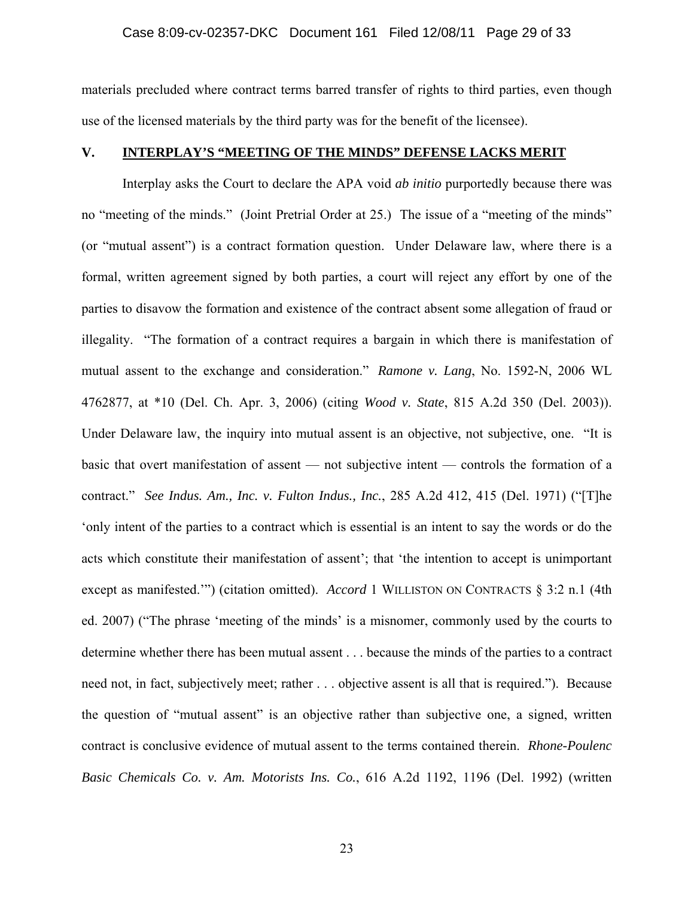materials precluded where contract terms barred transfer of rights to third parties, even though use of the licensed materials by the third party was for the benefit of the licensee).

#### **V. INTERPLAY'S "MEETING OF THE MINDS" DEFENSE LACKS MERIT**

Interplay asks the Court to declare the APA void *ab initio* purportedly because there was no "meeting of the minds." (Joint Pretrial Order at 25.) The issue of a "meeting of the minds" (or "mutual assent") is a contract formation question. Under Delaware law, where there is a formal, written agreement signed by both parties, a court will reject any effort by one of the parties to disavow the formation and existence of the contract absent some allegation of fraud or illegality. "The formation of a contract requires a bargain in which there is manifestation of mutual assent to the exchange and consideration." *Ramone v. Lang*, No. 1592-N, 2006 WL 4762877, at \*10 (Del. Ch. Apr. 3, 2006) (citing *Wood v. State*, 815 A.2d 350 (Del. 2003)). Under Delaware law, the inquiry into mutual assent is an objective, not subjective, one. "It is basic that overt manifestation of assent — not subjective intent — controls the formation of a contract." *See Indus. Am., Inc. v. Fulton Indus., Inc.*, 285 A.2d 412, 415 (Del. 1971) ("[T]he 'only intent of the parties to a contract which is essential is an intent to say the words or do the acts which constitute their manifestation of assent'; that 'the intention to accept is unimportant except as manifested.'") (citation omitted). *Accord* 1 WILLISTON ON CONTRACTS § 3:2 n.1 (4th ed. 2007) ("The phrase 'meeting of the minds' is a misnomer, commonly used by the courts to determine whether there has been mutual assent . . . because the minds of the parties to a contract need not, in fact, subjectively meet; rather . . . objective assent is all that is required."). Because the question of "mutual assent" is an objective rather than subjective one, a signed, written contract is conclusive evidence of mutual assent to the terms contained therein. *Rhone-Poulenc Basic Chemicals Co. v. Am. Motorists Ins. Co.*, 616 A.2d 1192, 1196 (Del. 1992) (written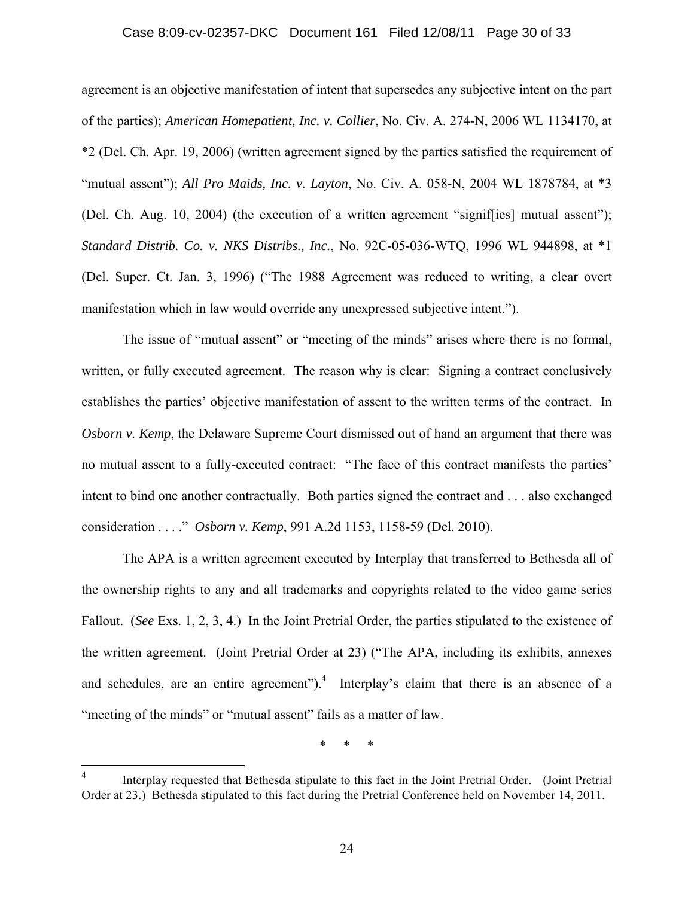#### Case 8:09-cv-02357-DKC Document 161 Filed 12/08/11 Page 30 of 33

agreement is an objective manifestation of intent that supersedes any subjective intent on the part of the parties); *American Homepatient, Inc. v. Collier*, No. Civ. A. 274-N, 2006 WL 1134170, at \*2 (Del. Ch. Apr. 19, 2006) (written agreement signed by the parties satisfied the requirement of "mutual assent"); *All Pro Maids, Inc. v. Layton*, No. Civ. A. 058-N, 2004 WL 1878784, at \*3 (Del. Ch. Aug. 10, 2004) (the execution of a written agreement "signif[ies] mutual assent"); *Standard Distrib. Co. v. NKS Distribs., Inc.*, No. 92C-05-036-WTQ, 1996 WL 944898, at \*1 (Del. Super. Ct. Jan. 3, 1996) ("The 1988 Agreement was reduced to writing, a clear overt manifestation which in law would override any unexpressed subjective intent.").

The issue of "mutual assent" or "meeting of the minds" arises where there is no formal, written, or fully executed agreement. The reason why is clear: Signing a contract conclusively establishes the parties' objective manifestation of assent to the written terms of the contract. In *Osborn v. Kemp*, the Delaware Supreme Court dismissed out of hand an argument that there was no mutual assent to a fully-executed contract: "The face of this contract manifests the parties' intent to bind one another contractually. Both parties signed the contract and . . . also exchanged consideration . . . ." *Osborn v. Kemp*, 991 A.2d 1153, 1158-59 (Del. 2010).

The APA is a written agreement executed by Interplay that transferred to Bethesda all of the ownership rights to any and all trademarks and copyrights related to the video game series Fallout. (*See* Exs. 1, 2, 3, 4.) In the Joint Pretrial Order, the parties stipulated to the existence of the written agreement. (Joint Pretrial Order at 23) ("The APA, including its exhibits, annexes and schedules, are an entire agreement").<sup>4</sup> Interplay's claim that there is an absence of a "meeting of the minds" or "mutual assent" fails as a matter of law.

\* \* \*

 $\frac{1}{4}$  Interplay requested that Bethesda stipulate to this fact in the Joint Pretrial Order. (Joint Pretrial Order at 23.) Bethesda stipulated to this fact during the Pretrial Conference held on November 14, 2011.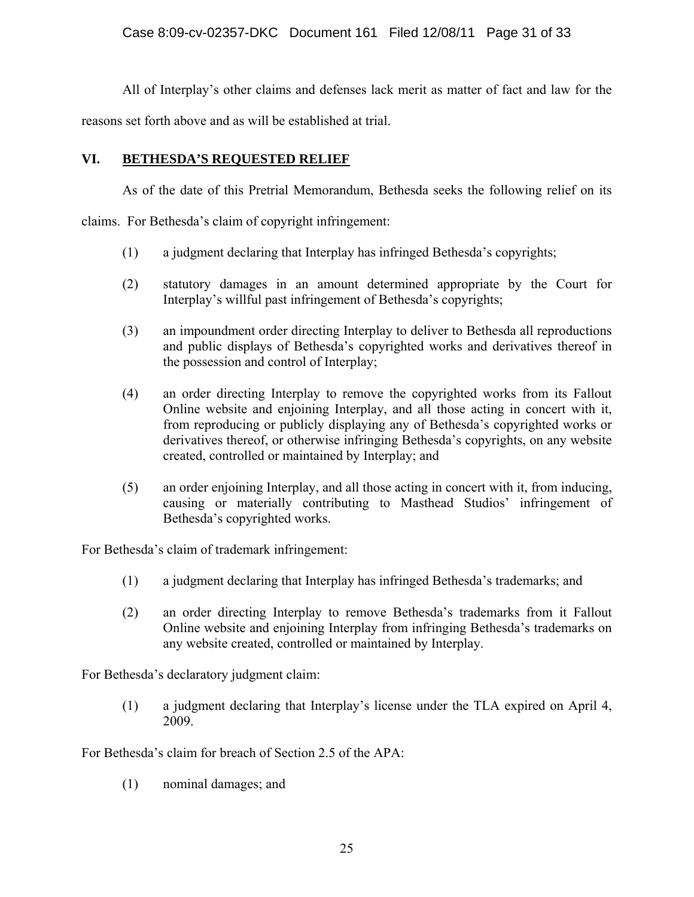All of Interplay's other claims and defenses lack merit as matter of fact and law for the

reasons set forth above and as will be established at trial.

## **VI. BETHESDA'S REQUESTED RELIEF**

As of the date of this Pretrial Memorandum, Bethesda seeks the following relief on its

claims. For Bethesda's claim of copyright infringement:

- (1) a judgment declaring that Interplay has infringed Bethesda's copyrights;
- (2) statutory damages in an amount determined appropriate by the Court for Interplay's willful past infringement of Bethesda's copyrights;
- (3) an impoundment order directing Interplay to deliver to Bethesda all reproductions and public displays of Bethesda's copyrighted works and derivatives thereof in the possession and control of Interplay;
- (4) an order directing Interplay to remove the copyrighted works from its Fallout Online website and enjoining Interplay, and all those acting in concert with it, from reproducing or publicly displaying any of Bethesda's copyrighted works or derivatives thereof, or otherwise infringing Bethesda's copyrights, on any website created, controlled or maintained by Interplay; and
- (5) an order enjoining Interplay, and all those acting in concert with it, from inducing, causing or materially contributing to Masthead Studios' infringement of Bethesda's copyrighted works.

For Bethesda's claim of trademark infringement:

- (1) a judgment declaring that Interplay has infringed Bethesda's trademarks; and
- (2) an order directing Interplay to remove Bethesda's trademarks from it Fallout Online website and enjoining Interplay from infringing Bethesda's trademarks on any website created, controlled or maintained by Interplay.

For Bethesda's declaratory judgment claim:

(1) a judgment declaring that Interplay's license under the TLA expired on April 4, 2009.

For Bethesda's claim for breach of Section 2.5 of the APA:

(1) nominal damages; and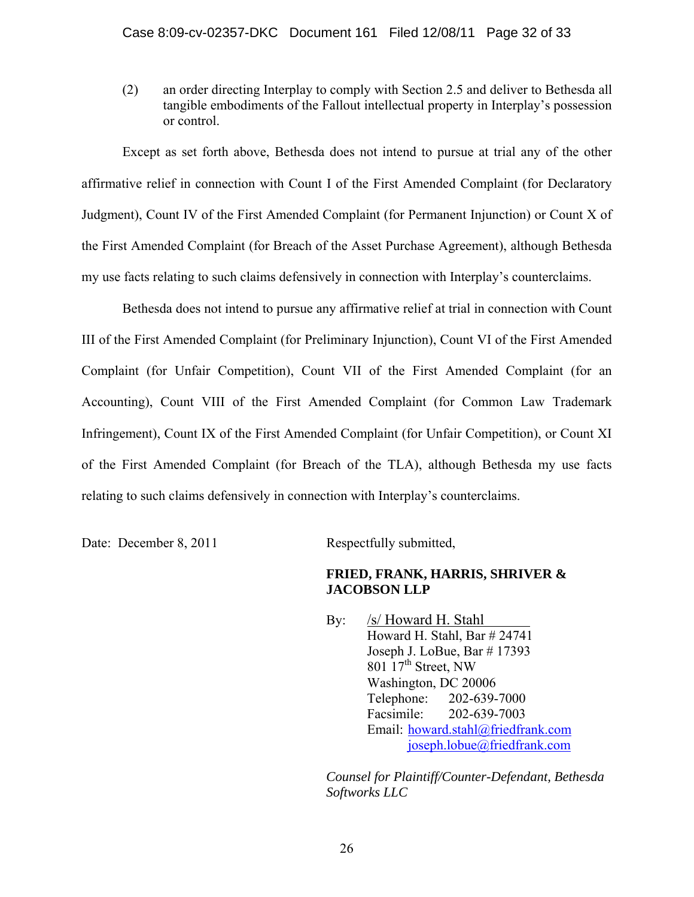(2) an order directing Interplay to comply with Section 2.5 and deliver to Bethesda all tangible embodiments of the Fallout intellectual property in Interplay's possession or control.

Except as set forth above, Bethesda does not intend to pursue at trial any of the other affirmative relief in connection with Count I of the First Amended Complaint (for Declaratory Judgment), Count IV of the First Amended Complaint (for Permanent Injunction) or Count X of the First Amended Complaint (for Breach of the Asset Purchase Agreement), although Bethesda my use facts relating to such claims defensively in connection with Interplay's counterclaims.

Bethesda does not intend to pursue any affirmative relief at trial in connection with Count III of the First Amended Complaint (for Preliminary Injunction), Count VI of the First Amended Complaint (for Unfair Competition), Count VII of the First Amended Complaint (for an Accounting), Count VIII of the First Amended Complaint (for Common Law Trademark Infringement), Count IX of the First Amended Complaint (for Unfair Competition), or Count XI of the First Amended Complaint (for Breach of the TLA), although Bethesda my use facts relating to such claims defensively in connection with Interplay's counterclaims.

Date: December 8, 2011 Respectfully submitted,

## **FRIED, FRANK, HARRIS, SHRIVER & JACOBSON LLP**

 By: /s/ Howard H. Stahl Howard H. Stahl, Bar # 24741 Joseph J. LoBue, Bar # 17393 801  $17<sup>th</sup>$  Street, NW Washington, DC 20006 Telephone: 202-639-7000 Facsimile: 202-639-7003 Email: howard.stahl@friedfrank.com joseph.lobue@friedfrank.com

*Counsel for Plaintiff/Counter-Defendant, Bethesda Softworks LLC*